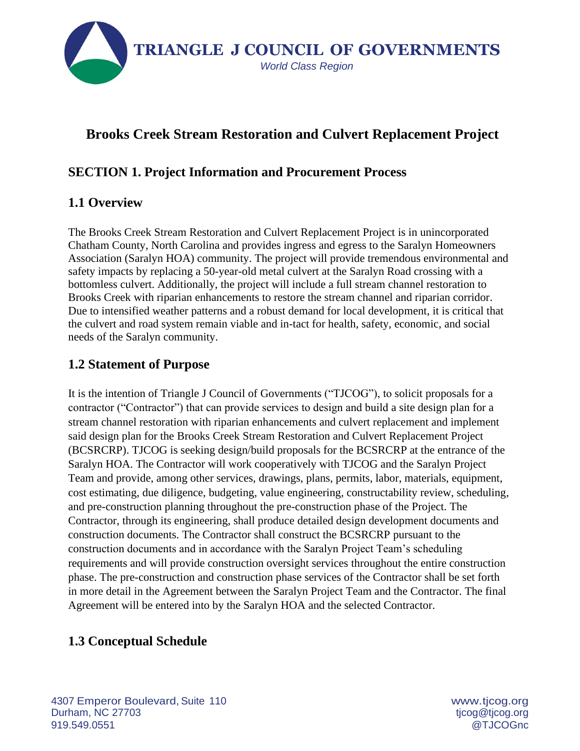

# **Brooks Creek Stream Restoration and Culvert Replacement Project**

## **SECTION 1. Project Information and Procurement Process**

# **1.1 Overview**

The Brooks Creek Stream Restoration and Culvert Replacement Project is in unincorporated Chatham County, North Carolina and provides ingress and egress to the Saralyn Homeowners Association (Saralyn HOA) community. The project will provide tremendous environmental and safety impacts by replacing a 50-year-old metal culvert at the Saralyn Road crossing with a bottomless culvert. Additionally, the project will include a full stream channel restoration to Brooks Creek with riparian enhancements to restore the stream channel and riparian corridor. Due to intensified weather patterns and a robust demand for local development, it is critical that the culvert and road system remain viable and in-tact for health, safety, economic, and social needs of the Saralyn community.

## **1.2 Statement of Purpose**

It is the intention of Triangle J Council of Governments ("TJCOG"), to solicit proposals for a contractor ("Contractor") that can provide services to design and build a site design plan for a stream channel restoration with riparian enhancements and culvert replacement and implement said design plan for the Brooks Creek Stream Restoration and Culvert Replacement Project (BCSRCRP). TJCOG is seeking design/build proposals for the BCSRCRP at the entrance of the Saralyn HOA. The Contractor will work cooperatively with TJCOG and the Saralyn Project Team and provide, among other services, drawings, plans, permits, labor, materials, equipment, cost estimating, due diligence, budgeting, value engineering, constructability review, scheduling, and pre-construction planning throughout the pre-construction phase of the Project. The Contractor, through its engineering, shall produce detailed design development documents and construction documents. The Contractor shall construct the BCSRCRP pursuant to the construction documents and in accordance with the Saralyn Project Team's scheduling requirements and will provide construction oversight services throughout the entire construction phase. The pre-construction and construction phase services of the Contractor shall be set forth in more detail in the Agreement between the Saralyn Project Team and the Contractor. The final Agreement will be entered into by the Saralyn HOA and the selected Contractor.

# **1.3 Conceptual Schedule**

4307 Emperor Boulevard,Suite 110 www.tjcog.org Durham, NC 27703 tjcog@tjcog.org 919.549.0551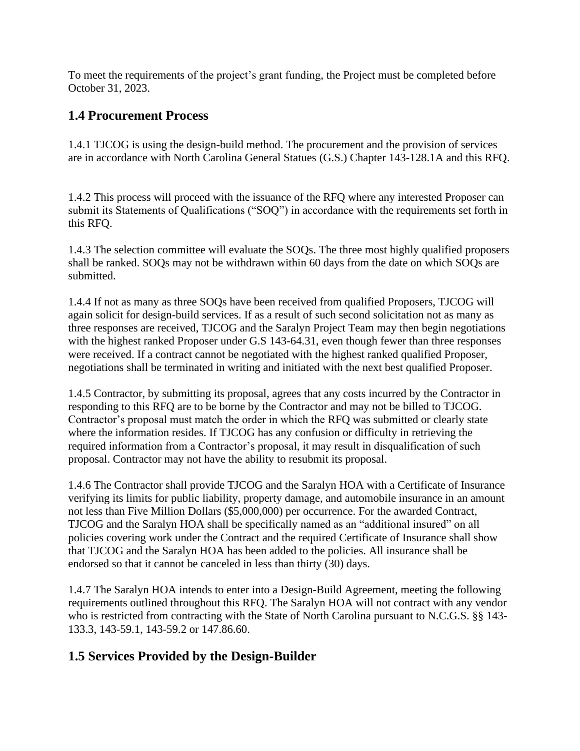To meet the requirements of the project's grant funding, the Project must be completed before October 31, 2023.

# **1.4 Procurement Process**

1.4.1 TJCOG is using the design-build method. The procurement and the provision of services are in accordance with North Carolina General Statues (G.S.) Chapter 143-128.1A and this RFQ.

1.4.2 This process will proceed with the issuance of the RFQ where any interested Proposer can submit its Statements of Qualifications ("SOQ") in accordance with the requirements set forth in this RFQ.

1.4.3 The selection committee will evaluate the SOQs. The three most highly qualified proposers shall be ranked. SOQs may not be withdrawn within 60 days from the date on which SOQs are submitted.

1.4.4 If not as many as three SOQs have been received from qualified Proposers, TJCOG will again solicit for design-build services. If as a result of such second solicitation not as many as three responses are received, TJCOG and the Saralyn Project Team may then begin negotiations with the highest ranked Proposer under G.S 143-64.31, even though fewer than three responses were received. If a contract cannot be negotiated with the highest ranked qualified Proposer, negotiations shall be terminated in writing and initiated with the next best qualified Proposer.

1.4.5 Contractor, by submitting its proposal, agrees that any costs incurred by the Contractor in responding to this RFQ are to be borne by the Contractor and may not be billed to TJCOG. Contractor's proposal must match the order in which the RFQ was submitted or clearly state where the information resides. If TJCOG has any confusion or difficulty in retrieving the required information from a Contractor's proposal, it may result in disqualification of such proposal. Contractor may not have the ability to resubmit its proposal.

1.4.6 The Contractor shall provide TJCOG and the Saralyn HOA with a Certificate of Insurance verifying its limits for public liability, property damage, and automobile insurance in an amount not less than Five Million Dollars (\$5,000,000) per occurrence. For the awarded Contract, TJCOG and the Saralyn HOA shall be specifically named as an "additional insured" on all policies covering work under the Contract and the required Certificate of Insurance shall show that TJCOG and the Saralyn HOA has been added to the policies. All insurance shall be endorsed so that it cannot be canceled in less than thirty (30) days.

1.4.7 The Saralyn HOA intends to enter into a Design-Build Agreement, meeting the following requirements outlined throughout this RFQ. The Saralyn HOA will not contract with any vendor who is restricted from contracting with the State of North Carolina pursuant to N.C.G.S. §§ 143-133.3, 143-59.1, 143-59.2 or 147.86.60.

# **1.5 Services Provided by the Design-Builder**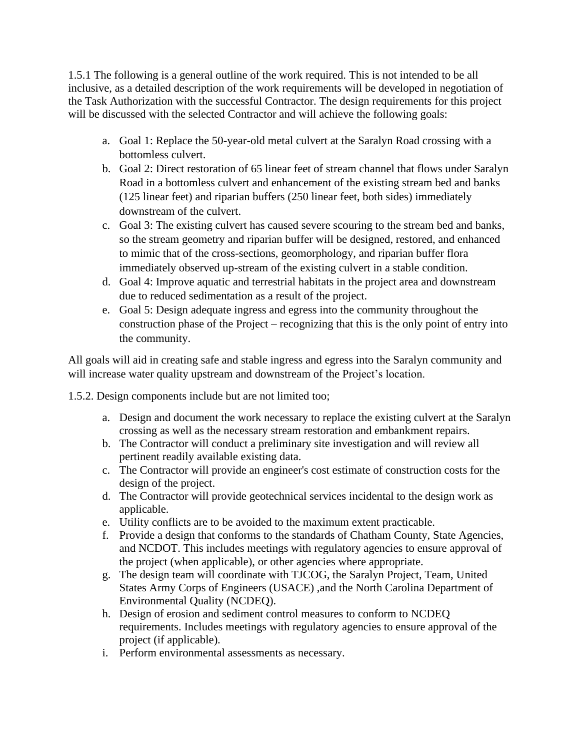1.5.1 The following is a general outline of the work required. This is not intended to be all inclusive, as a detailed description of the work requirements will be developed in negotiation of the Task Authorization with the successful Contractor. The design requirements for this project will be discussed with the selected Contractor and will achieve the following goals:

- a. Goal 1: Replace the 50-year-old metal culvert at the Saralyn Road crossing with a bottomless culvert.
- b. Goal 2: Direct restoration of 65 linear feet of stream channel that flows under Saralyn Road in a bottomless culvert and enhancement of the existing stream bed and banks (125 linear feet) and riparian buffers (250 linear feet, both sides) immediately downstream of the culvert.
- c. Goal 3: The existing culvert has caused severe scouring to the stream bed and banks, so the stream geometry and riparian buffer will be designed, restored, and enhanced to mimic that of the cross-sections, geomorphology, and riparian buffer flora immediately observed up-stream of the existing culvert in a stable condition.
- d. Goal 4: Improve aquatic and terrestrial habitats in the project area and downstream due to reduced sedimentation as a result of the project.
- e. Goal 5: Design adequate ingress and egress into the community throughout the construction phase of the Project – recognizing that this is the only point of entry into the community.

All goals will aid in creating safe and stable ingress and egress into the Saralyn community and will increase water quality upstream and downstream of the Project's location.

1.5.2. Design components include but are not limited too;

- a. Design and document the work necessary to replace the existing culvert at the Saralyn crossing as well as the necessary stream restoration and embankment repairs.
- b. The Contractor will conduct a preliminary site investigation and will review all pertinent readily available existing data.
- c. The Contractor will provide an engineer's cost estimate of construction costs for the design of the project.
- d. The Contractor will provide geotechnical services incidental to the design work as applicable.
- e. Utility conflicts are to be avoided to the maximum extent practicable.
- f. Provide a design that conforms to the standards of Chatham County, State Agencies, and NCDOT. This includes meetings with regulatory agencies to ensure approval of the project (when applicable), or other agencies where appropriate.
- g. The design team will coordinate with TJCOG, the Saralyn Project, Team, United States Army Corps of Engineers (USACE) ,and the North Carolina Department of Environmental Quality (NCDEQ).
- h. Design of erosion and sediment control measures to conform to NCDEQ requirements. Includes meetings with regulatory agencies to ensure approval of the project (if applicable).
- i. Perform environmental assessments as necessary.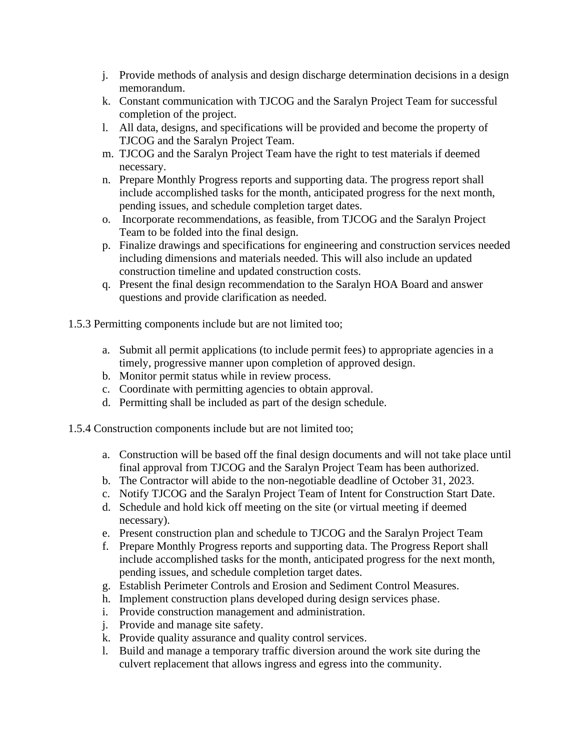- j. Provide methods of analysis and design discharge determination decisions in a design memorandum.
- k. Constant communication with TJCOG and the Saralyn Project Team for successful completion of the project.
- l. All data, designs, and specifications will be provided and become the property of TJCOG and the Saralyn Project Team.
- m. TJCOG and the Saralyn Project Team have the right to test materials if deemed necessary.
- n. Prepare Monthly Progress reports and supporting data. The progress report shall include accomplished tasks for the month, anticipated progress for the next month, pending issues, and schedule completion target dates.
- o. Incorporate recommendations, as feasible, from TJCOG and the Saralyn Project Team to be folded into the final design.
- p. Finalize drawings and specifications for engineering and construction services needed including dimensions and materials needed. This will also include an updated construction timeline and updated construction costs.
- q. Present the final design recommendation to the Saralyn HOA Board and answer questions and provide clarification as needed.
- 1.5.3 Permitting components include but are not limited too;
	- a. Submit all permit applications (to include permit fees) to appropriate agencies in a timely, progressive manner upon completion of approved design.
	- b. Monitor permit status while in review process.
	- c. Coordinate with permitting agencies to obtain approval.
	- d. Permitting shall be included as part of the design schedule.
- 1.5.4 Construction components include but are not limited too;
	- a. Construction will be based off the final design documents and will not take place until final approval from TJCOG and the Saralyn Project Team has been authorized.
	- b. The Contractor will abide to the non-negotiable deadline of October 31, 2023.
	- c. Notify TJCOG and the Saralyn Project Team of Intent for Construction Start Date.
	- d. Schedule and hold kick off meeting on the site (or virtual meeting if deemed necessary).
	- e. Present construction plan and schedule to TJCOG and the Saralyn Project Team
	- f. Prepare Monthly Progress reports and supporting data. The Progress Report shall include accomplished tasks for the month, anticipated progress for the next month, pending issues, and schedule completion target dates.
	- g. Establish Perimeter Controls and Erosion and Sediment Control Measures.
	- h. Implement construction plans developed during design services phase.
	- i. Provide construction management and administration.
	- j. Provide and manage site safety.
	- k. Provide quality assurance and quality control services.
	- l. Build and manage a temporary traffic diversion around the work site during the culvert replacement that allows ingress and egress into the community.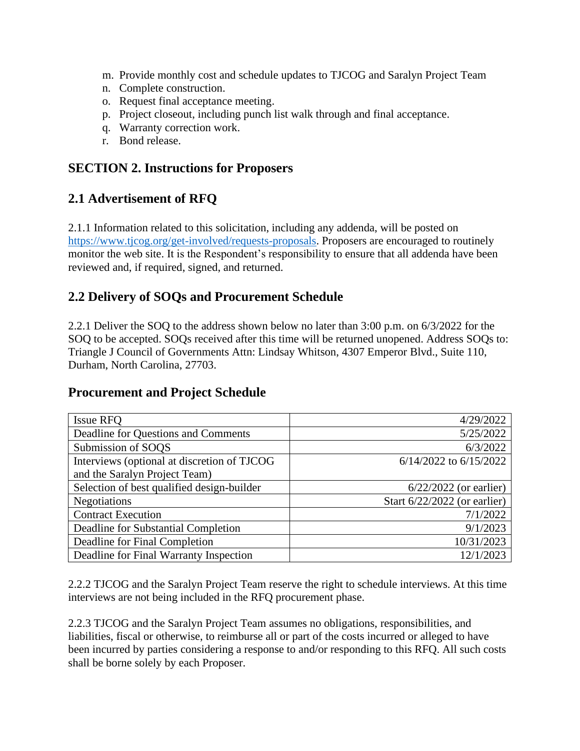- m. Provide monthly cost and schedule updates to TJCOG and Saralyn Project Team
- n. Complete construction.
- o. Request final acceptance meeting.
- p. Project closeout, including punch list walk through and final acceptance.
- q. Warranty correction work.
- r. Bond release.

### **SECTION 2. Instructions for Proposers**

### **2.1 Advertisement of RFQ**

2.1.1 Information related to this solicitation, including any addenda, will be posted on [https://www.tjcog.org/get-involved/requests-proposals.](https://www.tjcog.org/get-involved/requests-proposals) Proposers are encouraged to routinely monitor the web site. It is the Respondent's responsibility to ensure that all addenda have been reviewed and, if required, signed, and returned.

### **2.2 Delivery of SOQs and Procurement Schedule**

2.2.1 Deliver the SOQ to the address shown below no later than 3:00 p.m. on 6/3/2022 for the SOQ to be accepted. SOQs received after this time will be returned unopened. Address SOQs to: Triangle J Council of Governments Attn: Lindsay Whitson, 4307 Emperor Blvd., Suite 110, Durham, North Carolina, 27703.

### **Procurement and Project Schedule**

| Issue RFQ                                   | 4/29/2022                    |
|---------------------------------------------|------------------------------|
| Deadline for Questions and Comments         | 5/25/2022                    |
| Submission of SOQS                          | 6/3/2022                     |
| Interviews (optional at discretion of TJCOG | 6/14/2022 to 6/15/2022       |
| and the Saralyn Project Team)               |                              |
| Selection of best qualified design-builder  | $6/22/2022$ (or earlier)     |
| <b>Negotiations</b>                         | Start 6/22/2022 (or earlier) |
| <b>Contract Execution</b>                   | 7/1/2022                     |
| Deadline for Substantial Completion         | 9/1/2023                     |
| Deadline for Final Completion               | 10/31/2023                   |
| Deadline for Final Warranty Inspection      | 12/1/2023                    |

2.2.2 TJCOG and the Saralyn Project Team reserve the right to schedule interviews. At this time interviews are not being included in the RFQ procurement phase.

2.2.3 TJCOG and the Saralyn Project Team assumes no obligations, responsibilities, and liabilities, fiscal or otherwise, to reimburse all or part of the costs incurred or alleged to have been incurred by parties considering a response to and/or responding to this RFQ. All such costs shall be borne solely by each Proposer.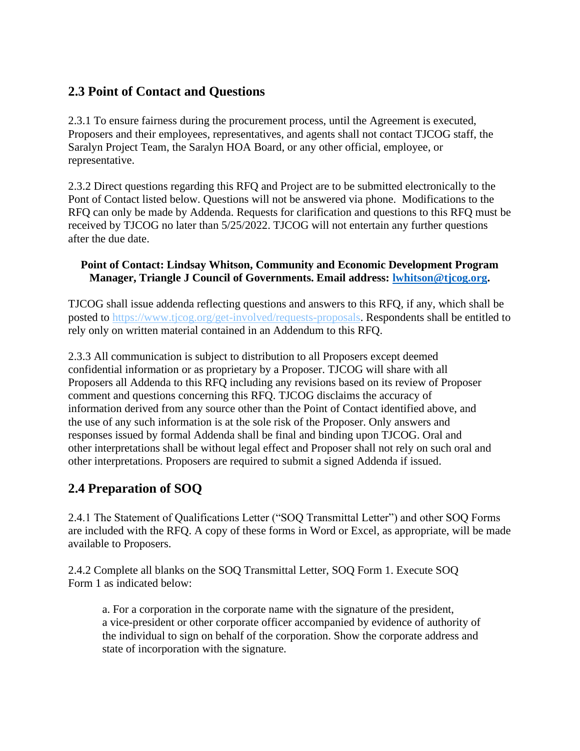## **2.3 Point of Contact and Questions**

2.3.1 To ensure fairness during the procurement process, until the Agreement is executed, Proposers and their employees, representatives, and agents shall not contact TJCOG staff, the Saralyn Project Team, the Saralyn HOA Board, or any other official, employee, or representative.

2.3.2 Direct questions regarding this RFQ and Project are to be submitted electronically to the Pont of Contact listed below. Questions will not be answered via phone. Modifications to the RFQ can only be made by Addenda. Requests for clarification and questions to this RFQ must be received by TJCOG no later than 5/25/2022. TJCOG will not entertain any further questions after the due date.

#### **Point of Contact: Lindsay Whitson, Community and Economic Development Program Manager, Triangle J Council of Governments. Email address: [lwhitson@tjcog.org.](mailto:lwhitson@tjcog.org)**

TJCOG shall issue addenda reflecting questions and answers to this RFQ, if any, which shall be posted to [https://www.tjcog.org/get-involved/requests-proposals.](https://www.tjcog.org/get-involved/requests-proposals) Respondents shall be entitled to rely only on written material contained in an Addendum to this RFQ.

2.3.3 All communication is subject to distribution to all Proposers except deemed confidential information or as proprietary by a Proposer. TJCOG will share with all Proposers all Addenda to this RFQ including any revisions based on its review of Proposer comment and questions concerning this RFQ. TJCOG disclaims the accuracy of information derived from any source other than the Point of Contact identified above, and the use of any such information is at the sole risk of the Proposer. Only answers and responses issued by formal Addenda shall be final and binding upon TJCOG. Oral and other interpretations shall be without legal effect and Proposer shall not rely on such oral and other interpretations. Proposers are required to submit a signed Addenda if issued.

# **2.4 Preparation of SOQ**

2.4.1 The Statement of Qualifications Letter ("SOQ Transmittal Letter") and other SOQ Forms are included with the RFQ. A copy of these forms in Word or Excel, as appropriate, will be made available to Proposers.

2.4.2 Complete all blanks on the SOQ Transmittal Letter, SOQ Form 1. Execute SOQ Form 1 as indicated below:

a. For a corporation in the corporate name with the signature of the president, a vice-president or other corporate officer accompanied by evidence of authority of the individual to sign on behalf of the corporation. Show the corporate address and state of incorporation with the signature.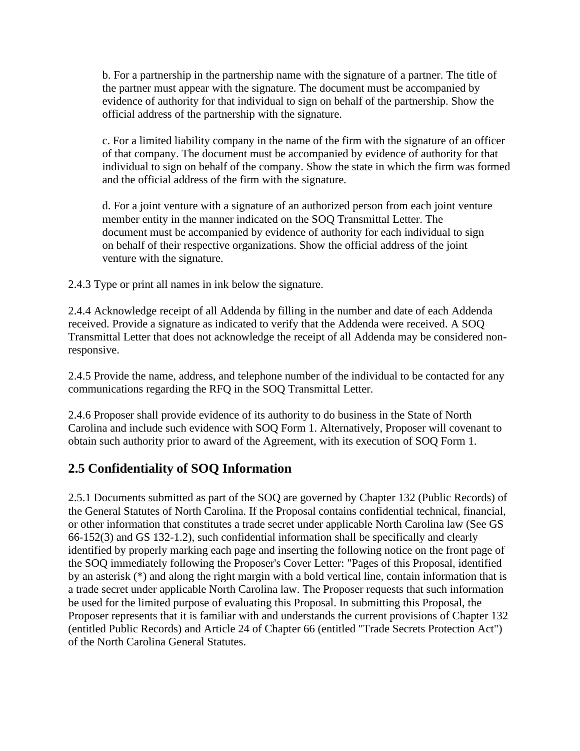b. For a partnership in the partnership name with the signature of a partner. The title of the partner must appear with the signature. The document must be accompanied by evidence of authority for that individual to sign on behalf of the partnership. Show the official address of the partnership with the signature.

c. For a limited liability company in the name of the firm with the signature of an officer of that company. The document must be accompanied by evidence of authority for that individual to sign on behalf of the company. Show the state in which the firm was formed and the official address of the firm with the signature.

d. For a joint venture with a signature of an authorized person from each joint venture member entity in the manner indicated on the SOQ Transmittal Letter. The document must be accompanied by evidence of authority for each individual to sign on behalf of their respective organizations. Show the official address of the joint venture with the signature.

2.4.3 Type or print all names in ink below the signature.

2.4.4 Acknowledge receipt of all Addenda by filling in the number and date of each Addenda received. Provide a signature as indicated to verify that the Addenda were received. A SOQ Transmittal Letter that does not acknowledge the receipt of all Addenda may be considered nonresponsive.

2.4.5 Provide the name, address, and telephone number of the individual to be contacted for any communications regarding the RFQ in the SOQ Transmittal Letter.

2.4.6 Proposer shall provide evidence of its authority to do business in the State of North Carolina and include such evidence with SOQ Form 1. Alternatively, Proposer will covenant to obtain such authority prior to award of the Agreement, with its execution of SOQ Form 1.

# **2.5 Confidentiality of SOQ Information**

2.5.1 Documents submitted as part of the SOQ are governed by Chapter 132 (Public Records) of the General Statutes of North Carolina. If the Proposal contains confidential technical, financial, or other information that constitutes a trade secret under applicable North Carolina law (See GS 66-152(3) and GS 132-1.2), such confidential information shall be specifically and clearly identified by properly marking each page and inserting the following notice on the front page of the SOQ immediately following the Proposer's Cover Letter: "Pages of this Proposal, identified by an asterisk (\*) and along the right margin with a bold vertical line, contain information that is a trade secret under applicable North Carolina law. The Proposer requests that such information be used for the limited purpose of evaluating this Proposal. In submitting this Proposal, the Proposer represents that it is familiar with and understands the current provisions of Chapter 132 (entitled Public Records) and Article 24 of Chapter 66 (entitled "Trade Secrets Protection Act") of the North Carolina General Statutes.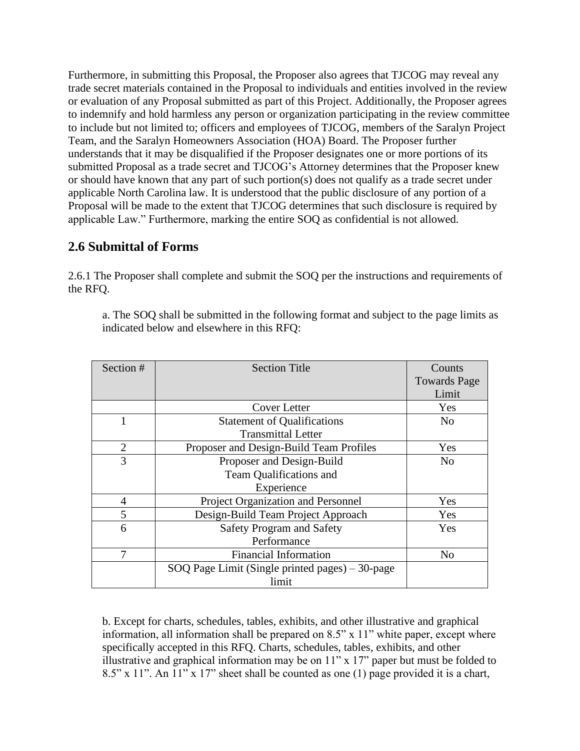Furthermore, in submitting this Proposal, the Proposer also agrees that TJCOG may reveal any trade secret materials contained in the Proposal to individuals and entities involved in the review or evaluation of any Proposal submitted as part of this Project. Additionally, the Proposer agrees to indemnify and hold harmless any person or organization participating in the review committee to include but not limited to; officers and employees of TJCOG, members of the Saralyn Project Team, and the Saralyn Homeowners Association (HOA) Board. The Proposer further understands that it may be disqualified if the Proposer designates one or more portions of its submitted Proposal as a trade secret and TJCOG's Attorney determines that the Proposer knew or should have known that any part of such portion(s) does not qualify as a trade secret under applicable North Carolina law. It is understood that the public disclosure of any portion of a Proposal will be made to the extent that TJCOG determines that such disclosure is required by applicable Law." Furthermore, marking the entire SOQ as confidential is not allowed.

## **2.6 Submittal of Forms**

2.6.1 The Proposer shall complete and submit the SOQ per the instructions and requirements of the RFQ.

a. The SOQ shall be submitted in the following format and subject to the page limits as indicated below and elsewhere in this RFQ:

| Section #      | <b>Section Title</b>                              | Counts              |
|----------------|---------------------------------------------------|---------------------|
|                |                                                   | <b>Towards Page</b> |
|                |                                                   | Limit               |
|                | Cover Letter                                      | Yes                 |
|                | <b>Statement of Qualifications</b>                | N <sub>o</sub>      |
|                | <b>Transmittal Letter</b>                         |                     |
| $\overline{2}$ | Proposer and Design-Build Team Profiles           | Yes                 |
| 3              | Proposer and Design-Build                         | N <sub>0</sub>      |
|                | <b>Team Qualifications and</b>                    |                     |
|                | Experience                                        |                     |
| 4              | Project Organization and Personnel                | Yes                 |
| 5              | Design-Build Team Project Approach                | Yes                 |
| 6              | <b>Safety Program and Safety</b>                  | Yes                 |
|                | Performance                                       |                     |
|                | <b>Financial Information</b>                      | No                  |
|                | $SOO$ Page Limit (Single printed pages) – 30-page |                     |
|                | limit                                             |                     |

b. Except for charts, schedules, tables, exhibits, and other illustrative and graphical information, all information shall be prepared on 8.5" x 11" white paper, except where specifically accepted in this RFQ. Charts, schedules, tables, exhibits, and other illustrative and graphical information may be on 11" x 17" paper but must be folded to 8.5" x 11". An 11" x 17" sheet shall be counted as one (1) page provided it is a chart,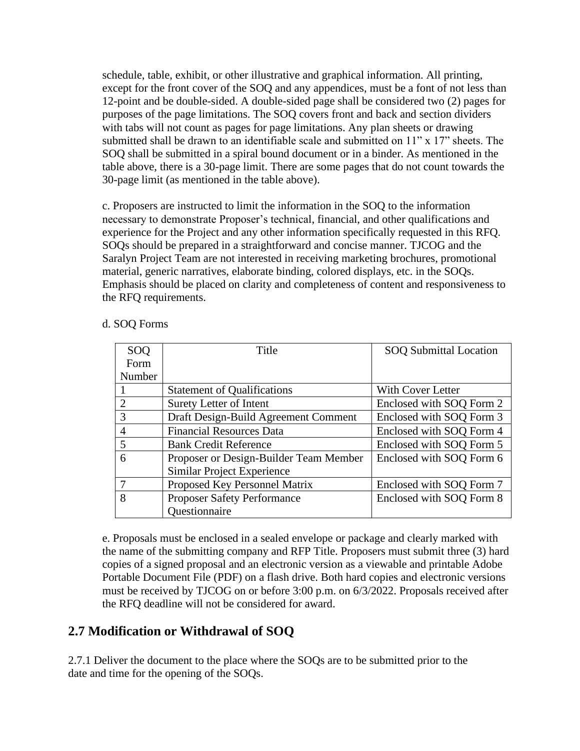schedule, table, exhibit, or other illustrative and graphical information. All printing, except for the front cover of the SOQ and any appendices, must be a font of not less than 12-point and be double-sided. A double-sided page shall be considered two (2) pages for purposes of the page limitations. The SOQ covers front and back and section dividers with tabs will not count as pages for page limitations. Any plan sheets or drawing submitted shall be drawn to an identifiable scale and submitted on 11" x 17" sheets. The SOQ shall be submitted in a spiral bound document or in a binder. As mentioned in the table above, there is a 30-page limit. There are some pages that do not count towards the 30-page limit (as mentioned in the table above).

c. Proposers are instructed to limit the information in the SOQ to the information necessary to demonstrate Proposer's technical, financial, and other qualifications and experience for the Project and any other information specifically requested in this RFQ. SOQs should be prepared in a straightforward and concise manner. TJCOG and the Saralyn Project Team are not interested in receiving marketing brochures, promotional material, generic narratives, elaborate binding, colored displays, etc. in the SOQs. Emphasis should be placed on clarity and completeness of content and responsiveness to the RFQ requirements.

| <b>SOQ</b>     | Title                                  | <b>SOQ Submittal Location</b> |
|----------------|----------------------------------------|-------------------------------|
| Form           |                                        |                               |
| Number         |                                        |                               |
|                | <b>Statement of Qualifications</b>     | With Cover Letter             |
|                | Surety Letter of Intent                | Enclosed with SOQ Form 2      |
| $\mathcal{R}$  | Draft Design-Build Agreement Comment   | Enclosed with SOQ Form 3      |
| $\overline{A}$ | <b>Financial Resources Data</b>        | Enclosed with SOQ Form 4      |
|                | <b>Bank Credit Reference</b>           | Enclosed with SOQ Form 5      |
| 6              | Proposer or Design-Builder Team Member | Enclosed with SOQ Form 6      |
|                | Similar Project Experience             |                               |
|                | Proposed Key Personnel Matrix          | Enclosed with SOQ Form 7      |
| 8              | Proposer Safety Performance            | Enclosed with SOQ Form 8      |
|                | Questionnaire                          |                               |

#### d. SOQ Forms

e. Proposals must be enclosed in a sealed envelope or package and clearly marked with the name of the submitting company and RFP Title. Proposers must submit three (3) hard copies of a signed proposal and an electronic version as a viewable and printable Adobe Portable Document File (PDF) on a flash drive. Both hard copies and electronic versions must be received by TJCOG on or before 3:00 p.m. on 6/3/2022. Proposals received after the RFQ deadline will not be considered for award.

### **2.7 Modification or Withdrawal of SOQ**

2.7.1 Deliver the document to the place where the SOQs are to be submitted prior to the date and time for the opening of the SOQs.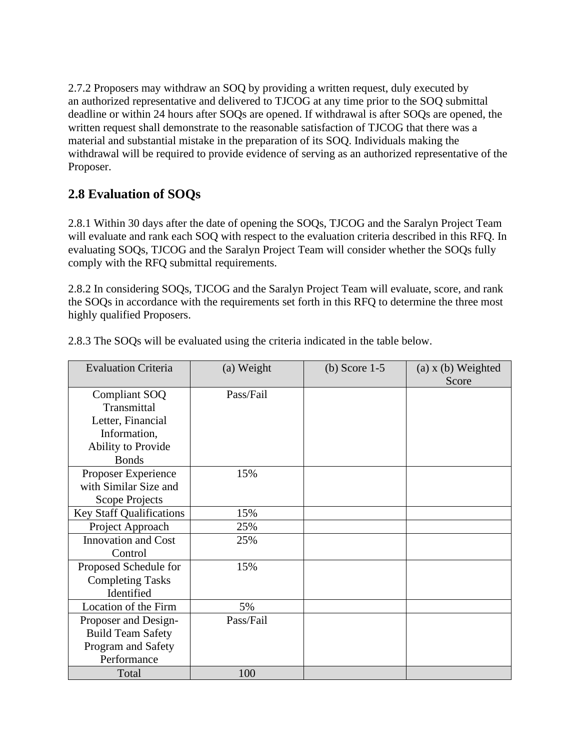2.7.2 Proposers may withdraw an SOQ by providing a written request, duly executed by an authorized representative and delivered to TJCOG at any time prior to the SOQ submittal deadline or within 24 hours after SOQs are opened. If withdrawal is after SOQs are opened, the written request shall demonstrate to the reasonable satisfaction of TJCOG that there was a material and substantial mistake in the preparation of its SOQ. Individuals making the withdrawal will be required to provide evidence of serving as an authorized representative of the Proposer.

# **2.8 Evaluation of SOQs**

2.8.1 Within 30 days after the date of opening the SOQs, TJCOG and the Saralyn Project Team will evaluate and rank each SOQ with respect to the evaluation criteria described in this RFQ. In evaluating SOQs, TJCOG and the Saralyn Project Team will consider whether the SOQs fully comply with the RFQ submittal requirements.

2.8.2 In considering SOQs, TJCOG and the Saralyn Project Team will evaluate, score, and rank the SOQs in accordance with the requirements set forth in this RFQ to determine the three most highly qualified Proposers.

| <b>Evaluation Criteria</b>      | (a) Weight | (b) Score $1-5$ | $(a)$ x $(b)$ Weighted |
|---------------------------------|------------|-----------------|------------------------|
|                                 |            |                 | Score                  |
| Compliant SOQ                   | Pass/Fail  |                 |                        |
| Transmittal                     |            |                 |                        |
| Letter, Financial               |            |                 |                        |
| Information,                    |            |                 |                        |
| Ability to Provide              |            |                 |                        |
| <b>Bonds</b>                    |            |                 |                        |
| Proposer Experience             | 15%        |                 |                        |
| with Similar Size and           |            |                 |                        |
| <b>Scope Projects</b>           |            |                 |                        |
| <b>Key Staff Qualifications</b> | 15%        |                 |                        |
| Project Approach                | 25%        |                 |                        |
| <b>Innovation and Cost</b>      | 25%        |                 |                        |
| Control                         |            |                 |                        |
| Proposed Schedule for           | 15%        |                 |                        |
| <b>Completing Tasks</b>         |            |                 |                        |
| Identified                      |            |                 |                        |
| Location of the Firm            | 5%         |                 |                        |
| Proposer and Design-            | Pass/Fail  |                 |                        |
| <b>Build Team Safety</b>        |            |                 |                        |
| Program and Safety              |            |                 |                        |
| Performance                     |            |                 |                        |
| Total                           | 100        |                 |                        |

2.8.3 The SOQs will be evaluated using the criteria indicated in the table below.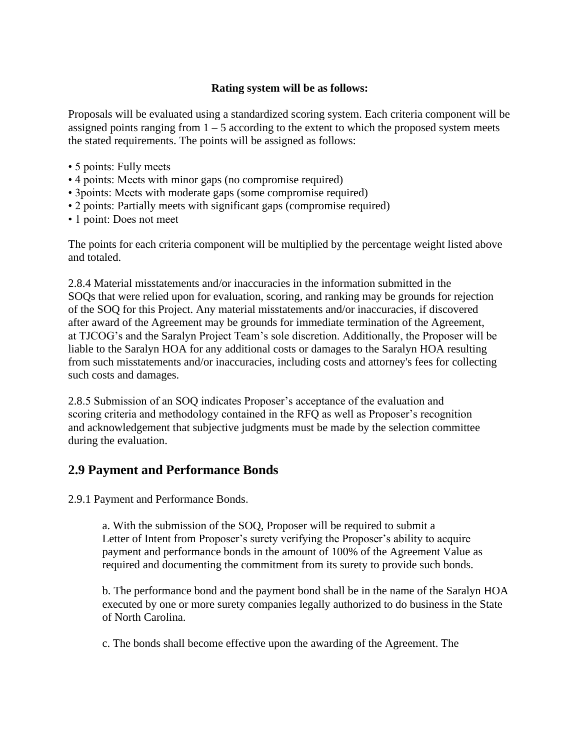#### **Rating system will be as follows:**

Proposals will be evaluated using a standardized scoring system. Each criteria component will be assigned points ranging from  $1 - 5$  according to the extent to which the proposed system meets the stated requirements. The points will be assigned as follows:

- 5 points: Fully meets
- 4 points: Meets with minor gaps (no compromise required)
- 3points: Meets with moderate gaps (some compromise required)
- 2 points: Partially meets with significant gaps (compromise required)
- 1 point: Does not meet

The points for each criteria component will be multiplied by the percentage weight listed above and totaled.

2.8.4 Material misstatements and/or inaccuracies in the information submitted in the SOQs that were relied upon for evaluation, scoring, and ranking may be grounds for rejection of the SOQ for this Project. Any material misstatements and/or inaccuracies, if discovered after award of the Agreement may be grounds for immediate termination of the Agreement, at TJCOG's and the Saralyn Project Team's sole discretion. Additionally, the Proposer will be liable to the Saralyn HOA for any additional costs or damages to the Saralyn HOA resulting from such misstatements and/or inaccuracies, including costs and attorney's fees for collecting such costs and damages.

2.8.5 Submission of an SOQ indicates Proposer's acceptance of the evaluation and scoring criteria and methodology contained in the RFQ as well as Proposer's recognition and acknowledgement that subjective judgments must be made by the selection committee during the evaluation.

### **2.9 Payment and Performance Bonds**

2.9.1 Payment and Performance Bonds.

a. With the submission of the SOQ, Proposer will be required to submit a Letter of Intent from Proposer's surety verifying the Proposer's ability to acquire payment and performance bonds in the amount of 100% of the Agreement Value as required and documenting the commitment from its surety to provide such bonds.

b. The performance bond and the payment bond shall be in the name of the Saralyn HOA executed by one or more surety companies legally authorized to do business in the State of North Carolina.

c. The bonds shall become effective upon the awarding of the Agreement. The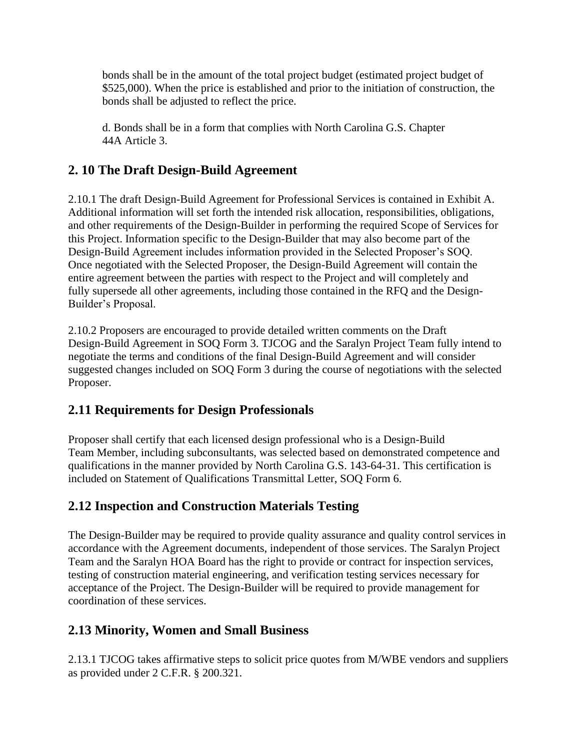bonds shall be in the amount of the total project budget (estimated project budget of \$525,000). When the price is established and prior to the initiation of construction, the bonds shall be adjusted to reflect the price.

d. Bonds shall be in a form that complies with North Carolina G.S. Chapter 44A Article 3.

# **2. 10 The Draft Design-Build Agreement**

2.10.1 The draft Design-Build Agreement for Professional Services is contained in Exhibit A. Additional information will set forth the intended risk allocation, responsibilities, obligations, and other requirements of the Design-Builder in performing the required Scope of Services for this Project. Information specific to the Design-Builder that may also become part of the Design-Build Agreement includes information provided in the Selected Proposer's SOQ. Once negotiated with the Selected Proposer, the Design-Build Agreement will contain the entire agreement between the parties with respect to the Project and will completely and fully supersede all other agreements, including those contained in the RFQ and the Design-Builder's Proposal.

2.10.2 Proposers are encouraged to provide detailed written comments on the Draft Design-Build Agreement in SOQ Form 3. TJCOG and the Saralyn Project Team fully intend to negotiate the terms and conditions of the final Design-Build Agreement and will consider suggested changes included on SOQ Form 3 during the course of negotiations with the selected Proposer.

### **2.11 Requirements for Design Professionals**

Proposer shall certify that each licensed design professional who is a Design-Build Team Member, including subconsultants, was selected based on demonstrated competence and qualifications in the manner provided by North Carolina G.S. 143-64-31. This certification is included on Statement of Qualifications Transmittal Letter, SOQ Form 6.

# **2.12 Inspection and Construction Materials Testing**

The Design-Builder may be required to provide quality assurance and quality control services in accordance with the Agreement documents, independent of those services. The Saralyn Project Team and the Saralyn HOA Board has the right to provide or contract for inspection services, testing of construction material engineering, and verification testing services necessary for acceptance of the Project. The Design-Builder will be required to provide management for coordination of these services.

# **2.13 Minority, Women and Small Business**

2.13.1 TJCOG takes affirmative steps to solicit price quotes from M/WBE vendors and suppliers as provided under 2 C.F.R. § 200.321.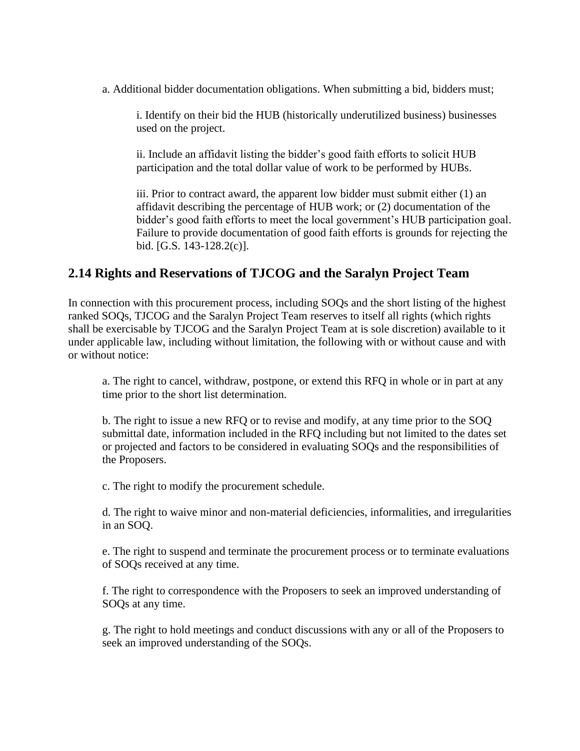a. Additional bidder documentation obligations. When submitting a bid, bidders must;

i. Identify on their bid the HUB (historically underutilized business) businesses used on the project.

ii. Include an affidavit listing the bidder's good faith efforts to solicit HUB participation and the total dollar value of work to be performed by HUBs.

iii. Prior to contract award, the apparent low bidder must submit either (1) an affidavit describing the percentage of HUB work; or (2) documentation of the bidder's good faith efforts to meet the local government's HUB participation goal. Failure to provide documentation of good faith efforts is grounds for rejecting the bid. [G.S. 143-128.2(c)].

### **2.14 Rights and Reservations of TJCOG and the Saralyn Project Team**

In connection with this procurement process, including SOQs and the short listing of the highest ranked SOQs, TJCOG and the Saralyn Project Team reserves to itself all rights (which rights shall be exercisable by TJCOG and the Saralyn Project Team at is sole discretion) available to it under applicable law, including without limitation, the following with or without cause and with or without notice:

a. The right to cancel, withdraw, postpone, or extend this RFQ in whole or in part at any time prior to the short list determination.

b. The right to issue a new RFQ or to revise and modify, at any time prior to the SOQ submittal date, information included in the RFQ including but not limited to the dates set or projected and factors to be considered in evaluating SOQs and the responsibilities of the Proposers.

c. The right to modify the procurement schedule.

d. The right to waive minor and non-material deficiencies, informalities, and irregularities in an SOQ.

e. The right to suspend and terminate the procurement process or to terminate evaluations of SOQs received at any time.

f. The right to correspondence with the Proposers to seek an improved understanding of SOQs at any time.

g. The right to hold meetings and conduct discussions with any or all of the Proposers to seek an improved understanding of the SOQs.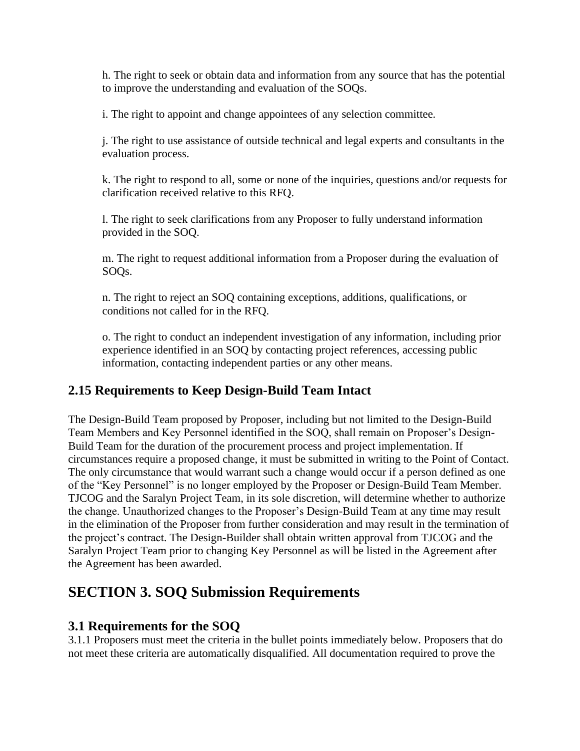h. The right to seek or obtain data and information from any source that has the potential to improve the understanding and evaluation of the SOQs.

i. The right to appoint and change appointees of any selection committee.

j. The right to use assistance of outside technical and legal experts and consultants in the evaluation process.

k. The right to respond to all, some or none of the inquiries, questions and/or requests for clarification received relative to this RFQ.

l. The right to seek clarifications from any Proposer to fully understand information provided in the SOQ.

m. The right to request additional information from a Proposer during the evaluation of SOQs.

n. The right to reject an SOQ containing exceptions, additions, qualifications, or conditions not called for in the RFQ.

o. The right to conduct an independent investigation of any information, including prior experience identified in an SOQ by contacting project references, accessing public information, contacting independent parties or any other means.

# **2.15 Requirements to Keep Design-Build Team Intact**

The Design-Build Team proposed by Proposer, including but not limited to the Design-Build Team Members and Key Personnel identified in the SOQ, shall remain on Proposer's Design-Build Team for the duration of the procurement process and project implementation. If circumstances require a proposed change, it must be submitted in writing to the Point of Contact. The only circumstance that would warrant such a change would occur if a person defined as one of the "Key Personnel" is no longer employed by the Proposer or Design-Build Team Member. TJCOG and the Saralyn Project Team, in its sole discretion, will determine whether to authorize the change. Unauthorized changes to the Proposer's Design-Build Team at any time may result in the elimination of the Proposer from further consideration and may result in the termination of the project's contract. The Design-Builder shall obtain written approval from TJCOG and the Saralyn Project Team prior to changing Key Personnel as will be listed in the Agreement after the Agreement has been awarded.

# **SECTION 3. SOQ Submission Requirements**

### **3.1 Requirements for the SOQ**

3.1.1 Proposers must meet the criteria in the bullet points immediately below. Proposers that do not meet these criteria are automatically disqualified. All documentation required to prove the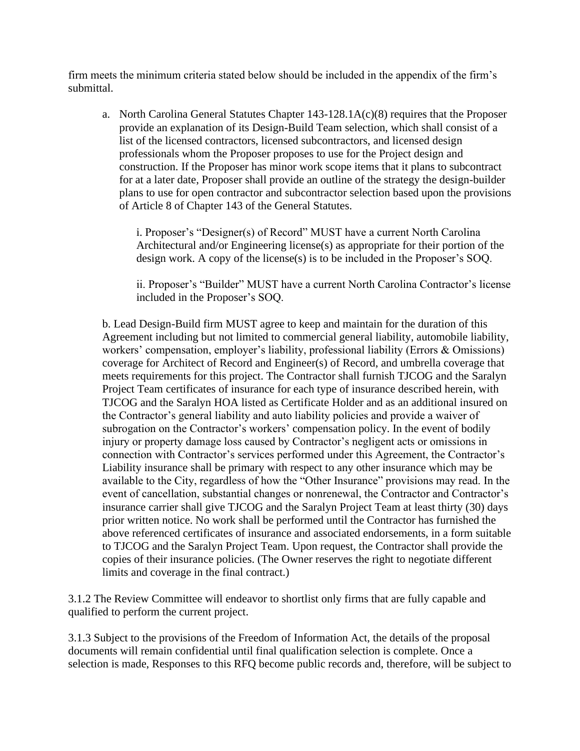firm meets the minimum criteria stated below should be included in the appendix of the firm's submittal.

a. North Carolina General Statutes Chapter 143-128.1A(c)(8) requires that the Proposer provide an explanation of its Design-Build Team selection, which shall consist of a list of the licensed contractors, licensed subcontractors, and licensed design professionals whom the Proposer proposes to use for the Project design and construction. If the Proposer has minor work scope items that it plans to subcontract for at a later date, Proposer shall provide an outline of the strategy the design-builder plans to use for open contractor and subcontractor selection based upon the provisions of Article 8 of Chapter 143 of the General Statutes.

i. Proposer's "Designer(s) of Record" MUST have a current North Carolina Architectural and/or Engineering license(s) as appropriate for their portion of the design work. A copy of the license(s) is to be included in the Proposer's SOQ.

ii. Proposer's "Builder" MUST have a current North Carolina Contractor's license included in the Proposer's SOQ.

b. Lead Design-Build firm MUST agree to keep and maintain for the duration of this Agreement including but not limited to commercial general liability, automobile liability, workers' compensation, employer's liability, professional liability (Errors & Omissions) coverage for Architect of Record and Engineer(s) of Record, and umbrella coverage that meets requirements for this project. The Contractor shall furnish TJCOG and the Saralyn Project Team certificates of insurance for each type of insurance described herein, with TJCOG and the Saralyn HOA listed as Certificate Holder and as an additional insured on the Contractor's general liability and auto liability policies and provide a waiver of subrogation on the Contractor's workers' compensation policy. In the event of bodily injury or property damage loss caused by Contractor's negligent acts or omissions in connection with Contractor's services performed under this Agreement, the Contractor's Liability insurance shall be primary with respect to any other insurance which may be available to the City, regardless of how the "Other Insurance" provisions may read. In the event of cancellation, substantial changes or nonrenewal, the Contractor and Contractor's insurance carrier shall give TJCOG and the Saralyn Project Team at least thirty (30) days prior written notice. No work shall be performed until the Contractor has furnished the above referenced certificates of insurance and associated endorsements, in a form suitable to TJCOG and the Saralyn Project Team. Upon request, the Contractor shall provide the copies of their insurance policies. (The Owner reserves the right to negotiate different limits and coverage in the final contract.)

3.1.2 The Review Committee will endeavor to shortlist only firms that are fully capable and qualified to perform the current project.

3.1.3 Subject to the provisions of the Freedom of Information Act, the details of the proposal documents will remain confidential until final qualification selection is complete. Once a selection is made, Responses to this RFQ become public records and, therefore, will be subject to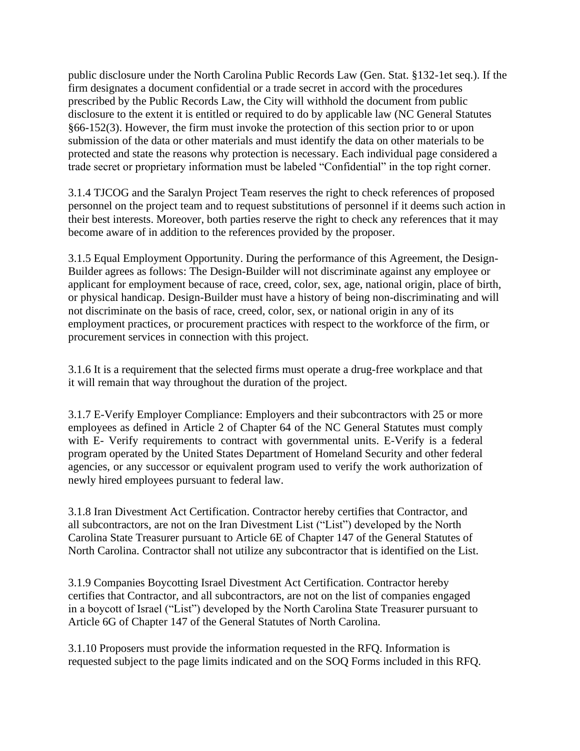public disclosure under the North Carolina Public Records Law (Gen. Stat. §132-1et seq.). If the firm designates a document confidential or a trade secret in accord with the procedures prescribed by the Public Records Law, the City will withhold the document from public disclosure to the extent it is entitled or required to do by applicable law (NC General Statutes §66-152(3). However, the firm must invoke the protection of this section prior to or upon submission of the data or other materials and must identify the data on other materials to be protected and state the reasons why protection is necessary. Each individual page considered a trade secret or proprietary information must be labeled "Confidential" in the top right corner.

3.1.4 TJCOG and the Saralyn Project Team reserves the right to check references of proposed personnel on the project team and to request substitutions of personnel if it deems such action in their best interests. Moreover, both parties reserve the right to check any references that it may become aware of in addition to the references provided by the proposer.

3.1.5 Equal Employment Opportunity. During the performance of this Agreement, the Design-Builder agrees as follows: The Design-Builder will not discriminate against any employee or applicant for employment because of race, creed, color, sex, age, national origin, place of birth, or physical handicap. Design-Builder must have a history of being non-discriminating and will not discriminate on the basis of race, creed, color, sex, or national origin in any of its employment practices, or procurement practices with respect to the workforce of the firm, or procurement services in connection with this project.

3.1.6 It is a requirement that the selected firms must operate a drug-free workplace and that it will remain that way throughout the duration of the project.

3.1.7 E-Verify Employer Compliance: Employers and their subcontractors with 25 or more employees as defined in Article 2 of Chapter 64 of the NC General Statutes must comply with E- Verify requirements to contract with governmental units. E-Verify is a federal program operated by the United States Department of Homeland Security and other federal agencies, or any successor or equivalent program used to verify the work authorization of newly hired employees pursuant to federal law.

3.1.8 Iran Divestment Act Certification. Contractor hereby certifies that Contractor, and all subcontractors, are not on the Iran Divestment List ("List") developed by the North Carolina State Treasurer pursuant to Article 6E of Chapter 147 of the General Statutes of North Carolina. Contractor shall not utilize any subcontractor that is identified on the List.

3.1.9 Companies Boycotting Israel Divestment Act Certification. Contractor hereby certifies that Contractor, and all subcontractors, are not on the list of companies engaged in a boycott of Israel ("List") developed by the North Carolina State Treasurer pursuant to Article 6G of Chapter 147 of the General Statutes of North Carolina.

3.1.10 Proposers must provide the information requested in the RFQ. Information is requested subject to the page limits indicated and on the SOQ Forms included in this RFQ.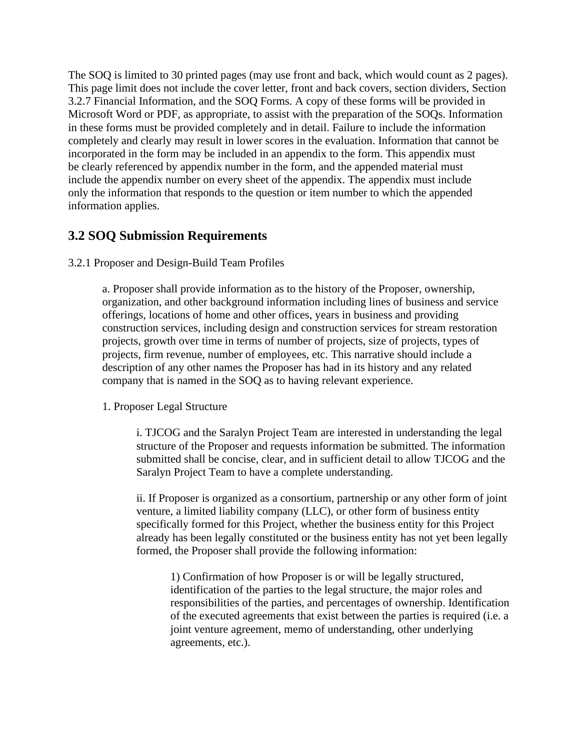The SOQ is limited to 30 printed pages (may use front and back, which would count as 2 pages). This page limit does not include the cover letter, front and back covers, section dividers, Section 3.2.7 Financial Information, and the SOQ Forms. A copy of these forms will be provided in Microsoft Word or PDF, as appropriate, to assist with the preparation of the SOQs. Information in these forms must be provided completely and in detail. Failure to include the information completely and clearly may result in lower scores in the evaluation. Information that cannot be incorporated in the form may be included in an appendix to the form. This appendix must be clearly referenced by appendix number in the form, and the appended material must include the appendix number on every sheet of the appendix. The appendix must include only the information that responds to the question or item number to which the appended information applies.

### **3.2 SOQ Submission Requirements**

3.2.1 Proposer and Design-Build Team Profiles

a. Proposer shall provide information as to the history of the Proposer, ownership, organization, and other background information including lines of business and service offerings, locations of home and other offices, years in business and providing construction services, including design and construction services for stream restoration projects, growth over time in terms of number of projects, size of projects, types of projects, firm revenue, number of employees, etc. This narrative should include a description of any other names the Proposer has had in its history and any related company that is named in the SOQ as to having relevant experience.

1. Proposer Legal Structure

i. TJCOG and the Saralyn Project Team are interested in understanding the legal structure of the Proposer and requests information be submitted. The information submitted shall be concise, clear, and in sufficient detail to allow TJCOG and the Saralyn Project Team to have a complete understanding.

ii. If Proposer is organized as a consortium, partnership or any other form of joint venture, a limited liability company (LLC), or other form of business entity specifically formed for this Project, whether the business entity for this Project already has been legally constituted or the business entity has not yet been legally formed, the Proposer shall provide the following information:

1) Confirmation of how Proposer is or will be legally structured, identification of the parties to the legal structure, the major roles and responsibilities of the parties, and percentages of ownership. Identification of the executed agreements that exist between the parties is required (i.e. a joint venture agreement, memo of understanding, other underlying agreements, etc.).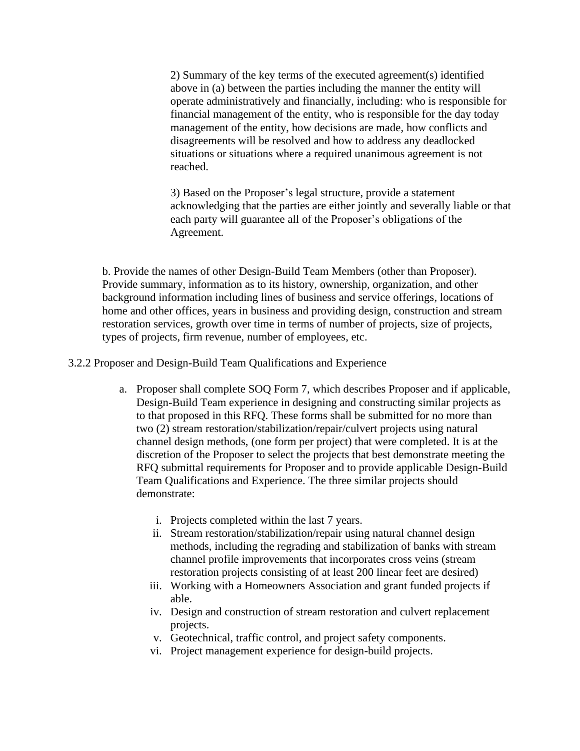2) Summary of the key terms of the executed agreement(s) identified above in (a) between the parties including the manner the entity will operate administratively and financially, including: who is responsible for financial management of the entity, who is responsible for the day today management of the entity, how decisions are made, how conflicts and disagreements will be resolved and how to address any deadlocked situations or situations where a required unanimous agreement is not reached.

3) Based on the Proposer's legal structure, provide a statement acknowledging that the parties are either jointly and severally liable or that each party will guarantee all of the Proposer's obligations of the Agreement.

b. Provide the names of other Design-Build Team Members (other than Proposer). Provide summary, information as to its history, ownership, organization, and other background information including lines of business and service offerings, locations of home and other offices, years in business and providing design, construction and stream restoration services, growth over time in terms of number of projects, size of projects, types of projects, firm revenue, number of employees, etc.

3.2.2 Proposer and Design-Build Team Qualifications and Experience

- a. Proposer shall complete SOQ Form 7, which describes Proposer and if applicable, Design-Build Team experience in designing and constructing similar projects as to that proposed in this RFQ. These forms shall be submitted for no more than two (2) stream restoration/stabilization/repair/culvert projects using natural channel design methods, (one form per project) that were completed. It is at the discretion of the Proposer to select the projects that best demonstrate meeting the RFQ submittal requirements for Proposer and to provide applicable Design-Build Team Qualifications and Experience. The three similar projects should demonstrate:
	- i. Projects completed within the last 7 years.
	- ii. Stream restoration/stabilization/repair using natural channel design methods, including the regrading and stabilization of banks with stream channel profile improvements that incorporates cross veins (stream restoration projects consisting of at least 200 linear feet are desired)
	- iii. Working with a Homeowners Association and grant funded projects if able.
	- iv. Design and construction of stream restoration and culvert replacement projects.
	- v. Geotechnical, traffic control, and project safety components.
	- vi. Project management experience for design-build projects.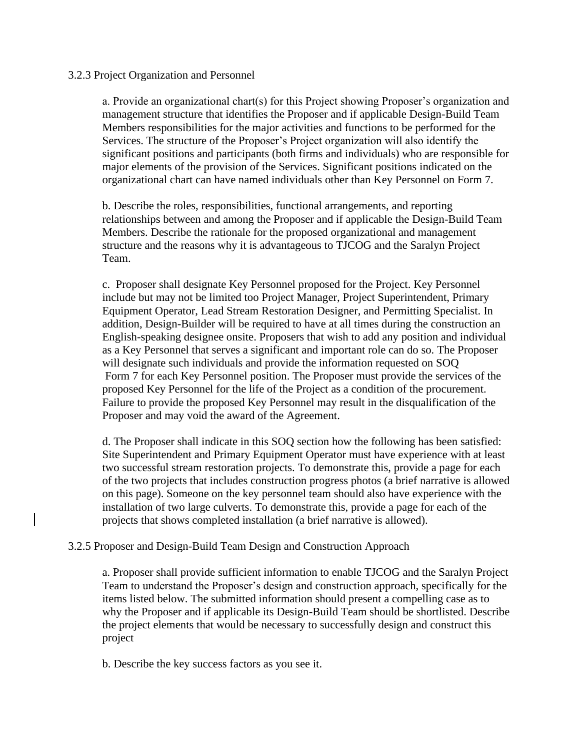#### 3.2.3 Project Organization and Personnel

a. Provide an organizational chart(s) for this Project showing Proposer's organization and management structure that identifies the Proposer and if applicable Design-Build Team Members responsibilities for the major activities and functions to be performed for the Services. The structure of the Proposer's Project organization will also identify the significant positions and participants (both firms and individuals) who are responsible for major elements of the provision of the Services. Significant positions indicated on the organizational chart can have named individuals other than Key Personnel on Form 7.

b. Describe the roles, responsibilities, functional arrangements, and reporting relationships between and among the Proposer and if applicable the Design-Build Team Members. Describe the rationale for the proposed organizational and management structure and the reasons why it is advantageous to TJCOG and the Saralyn Project Team.

c. Proposer shall designate Key Personnel proposed for the Project. Key Personnel include but may not be limited too Project Manager, Project Superintendent, Primary Equipment Operator, Lead Stream Restoration Designer, and Permitting Specialist. In addition, Design-Builder will be required to have at all times during the construction an English-speaking designee onsite. Proposers that wish to add any position and individual as a Key Personnel that serves a significant and important role can do so. The Proposer will designate such individuals and provide the information requested on SOQ Form 7 for each Key Personnel position. The Proposer must provide the services of the proposed Key Personnel for the life of the Project as a condition of the procurement. Failure to provide the proposed Key Personnel may result in the disqualification of the Proposer and may void the award of the Agreement.

d. The Proposer shall indicate in this SOQ section how the following has been satisfied: Site Superintendent and Primary Equipment Operator must have experience with at least two successful stream restoration projects. To demonstrate this, provide a page for each of the two projects that includes construction progress photos (a brief narrative is allowed on this page). Someone on the key personnel team should also have experience with the installation of two large culverts. To demonstrate this, provide a page for each of the projects that shows completed installation (a brief narrative is allowed).

#### 3.2.5 Proposer and Design-Build Team Design and Construction Approach

a. Proposer shall provide sufficient information to enable TJCOG and the Saralyn Project Team to understand the Proposer's design and construction approach, specifically for the items listed below. The submitted information should present a compelling case as to why the Proposer and if applicable its Design-Build Team should be shortlisted. Describe the project elements that would be necessary to successfully design and construct this project

b. Describe the key success factors as you see it.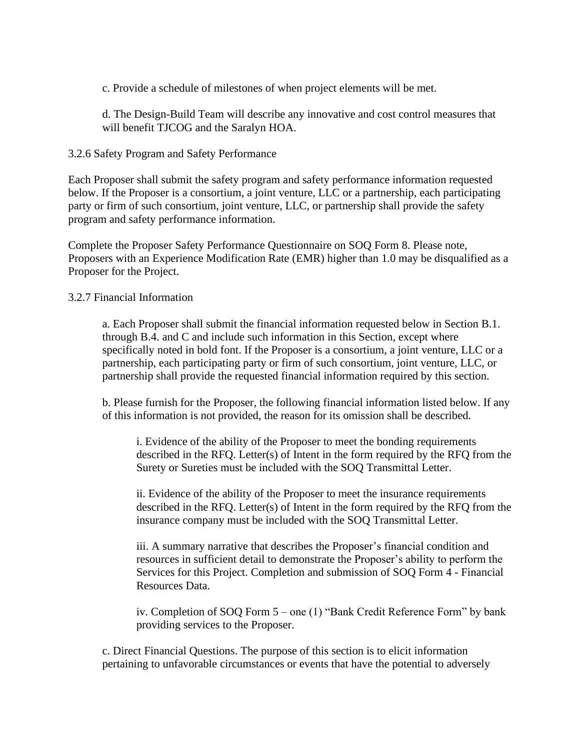c. Provide a schedule of milestones of when project elements will be met.

d. The Design-Build Team will describe any innovative and cost control measures that will benefit TJCOG and the Saralyn HOA.

#### 3.2.6 Safety Program and Safety Performance

Each Proposer shall submit the safety program and safety performance information requested below. If the Proposer is a consortium, a joint venture, LLC or a partnership, each participating party or firm of such consortium, joint venture, LLC, or partnership shall provide the safety program and safety performance information.

Complete the Proposer Safety Performance Questionnaire on SOQ Form 8. Please note, Proposers with an Experience Modification Rate (EMR) higher than 1.0 may be disqualified as a Proposer for the Project.

#### 3.2.7 Financial Information

a. Each Proposer shall submit the financial information requested below in Section B.1. through B.4. and C and include such information in this Section, except where specifically noted in bold font. If the Proposer is a consortium, a joint venture, LLC or a partnership, each participating party or firm of such consortium, joint venture, LLC, or partnership shall provide the requested financial information required by this section.

b. Please furnish for the Proposer, the following financial information listed below. If any of this information is not provided, the reason for its omission shall be described.

i. Evidence of the ability of the Proposer to meet the bonding requirements described in the RFQ. Letter(s) of Intent in the form required by the RFQ from the Surety or Sureties must be included with the SOQ Transmittal Letter.

ii. Evidence of the ability of the Proposer to meet the insurance requirements described in the RFQ. Letter(s) of Intent in the form required by the RFQ from the insurance company must be included with the SOQ Transmittal Letter.

iii. A summary narrative that describes the Proposer's financial condition and resources in sufficient detail to demonstrate the Proposer's ability to perform the Services for this Project. Completion and submission of SOQ Form 4 - Financial Resources Data.

iv. Completion of SOQ Form 5 – one (1) "Bank Credit Reference Form" by bank providing services to the Proposer.

c. Direct Financial Questions. The purpose of this section is to elicit information pertaining to unfavorable circumstances or events that have the potential to adversely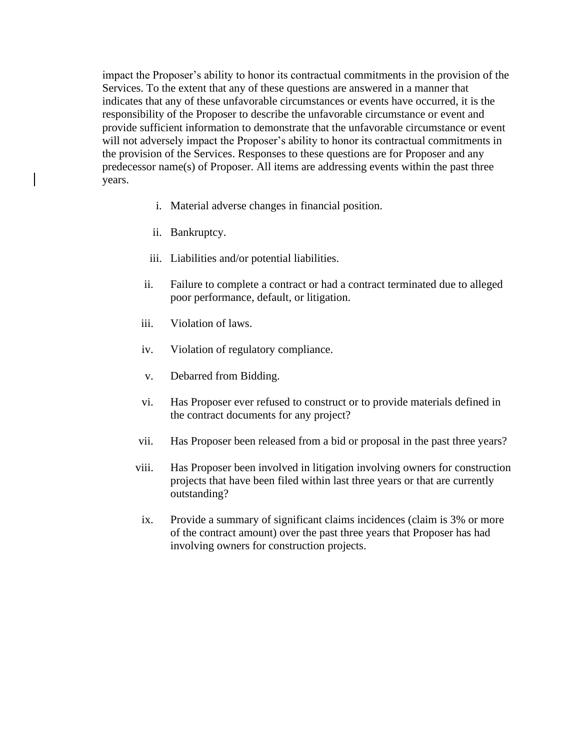impact the Proposer's ability to honor its contractual commitments in the provision of the Services. To the extent that any of these questions are answered in a manner that indicates that any of these unfavorable circumstances or events have occurred, it is the responsibility of the Proposer to describe the unfavorable circumstance or event and provide sufficient information to demonstrate that the unfavorable circumstance or event will not adversely impact the Proposer's ability to honor its contractual commitments in the provision of the Services. Responses to these questions are for Proposer and any predecessor name(s) of Proposer. All items are addressing events within the past three years.

- i. Material adverse changes in financial position.
- ii. Bankruptcy.
- iii. Liabilities and/or potential liabilities.
- ii. Failure to complete a contract or had a contract terminated due to alleged poor performance, default, or litigation.
- iii. Violation of laws.
- iv. Violation of regulatory compliance.
- v. Debarred from Bidding.
- vi. Has Proposer ever refused to construct or to provide materials defined in the contract documents for any project?
- vii. Has Proposer been released from a bid or proposal in the past three years?
- viii. Has Proposer been involved in litigation involving owners for construction projects that have been filed within last three years or that are currently outstanding?
- ix. Provide a summary of significant claims incidences (claim is 3% or more of the contract amount) over the past three years that Proposer has had involving owners for construction projects.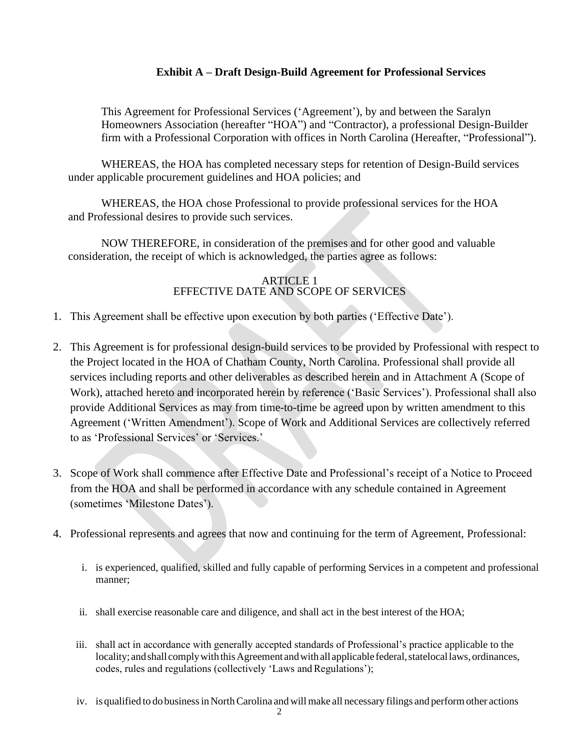#### **Exhibit A – Draft Design-Build Agreement for Professional Services**

This Agreement for Professional Services ('Agreement'), by and between the Saralyn Homeowners Association (hereafter "HOA") and "Contractor), a professional Design-Builder firm with a Professional Corporation with offices in North Carolina (Hereafter, "Professional").

WHEREAS, the HOA has completed necessary steps for retention of Design-Build services under applicable procurement guidelines and HOA policies; and

WHEREAS, the HOA chose Professional to provide professional services for the HOA and Professional desires to provide such services.

NOW THEREFORE, in consideration of the premises and for other good and valuable consideration, the receipt of which is acknowledged, the parties agree as follows:

#### ARTICLE 1 EFFECTIVE DATE AND SCOPE OF SERVICES

- 1. This Agreement shall be effective upon execution by both parties ('Effective Date').
- 2. This Agreement is for professional design-build services to be provided by Professional with respect to the Project located in the HOA of Chatham County, North Carolina. Professional shall provide all services including reports and other deliverables as described herein and in Attachment A (Scope of Work), attached hereto and incorporated herein by reference ('Basic Services'). Professional shall also provide Additional Services as may from time-to-time be agreed upon by written amendment to this Agreement ('Written Amendment'). Scope of Work and Additional Services are collectively referred to as 'Professional Services' or 'Services.'
- 3. Scope of Work shall commence after Effective Date and Professional's receipt of a Notice to Proceed from the HOA and shall be performed in accordance with any schedule contained in Agreement (sometimes 'Milestone Dates').
- 4. Professional represents and agrees that now and continuing for the term of Agreement, Professional:
	- i. is experienced, qualified, skilled and fully capable of performing Services in a competent and professional manner;
	- ii. shall exercise reasonable care and diligence, and shall act in the best interest of the HOA;
	- iii. shall act in accordance with generally accepted standards of Professional's practice applicable to the locality; and shall comply with this Agreement and with all applicable federal, statelocal laws, ordinances, codes, rules and regulations (collectively 'Laws and Regulations');
	- iv. is qualified to do businessinNorthCarolina andwillmake all necessary filings and performother actions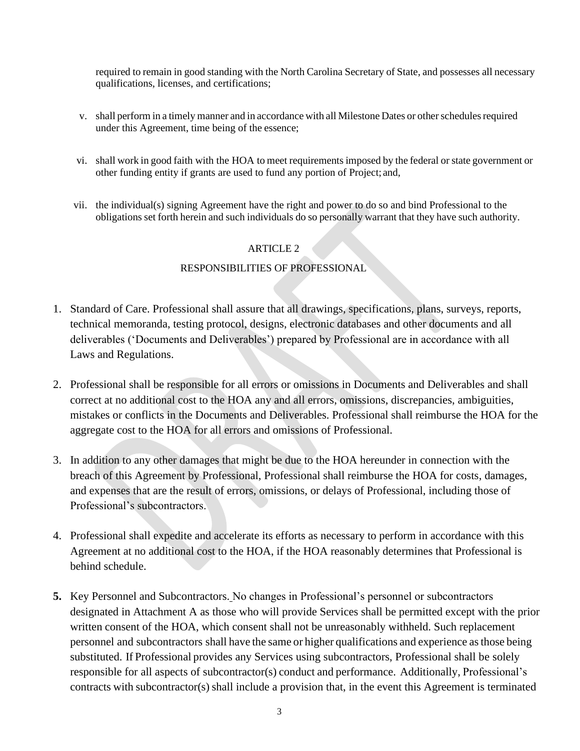required to remain in good standing with the North Carolina Secretary of State, and possesses all necessary qualifications, licenses, and certifications;

- v. shall perform in a timely manner and in accordance with all Milestone Dates or otherschedulesrequired under this Agreement, time being of the essence;
- vi. shall work in good faith with the HOA to meet requirementsimposed by the federal or state government or other funding entity if grants are used to fund any portion of Project; and,
- vii. the individual(s) signing Agreement have the right and power to do so and bind Professional to the obligations set forth herein and such individuals do so personally warrant that they have such authority.

#### ARTICLE 2

#### RESPONSIBILITIES OF PROFESSIONAL

- 1. Standard of Care. Professional shall assure that all drawings, specifications, plans, surveys, reports, technical memoranda, testing protocol, designs, electronic databases and other documents and all deliverables ('Documents and Deliverables') prepared by Professional are in accordance with all Laws and Regulations.
- 2. Professional shall be responsible for all errors or omissions in Documents and Deliverables and shall correct at no additional cost to the HOA any and all errors, omissions, discrepancies, ambiguities, mistakes or conflicts in the Documents and Deliverables. Professional shall reimburse the HOA for the aggregate cost to the HOA for all errors and omissions of Professional.
- 3. In addition to any other damages that might be due to the HOA hereunder in connection with the breach of this Agreement by Professional, Professional shall reimburse the HOA for costs, damages, and expenses that are the result of errors, omissions, or delays of Professional, including those of Professional's subcontractors.
- 4. Professional shall expedite and accelerate its efforts as necessary to perform in accordance with this Agreement at no additional cost to the HOA, if the HOA reasonably determines that Professional is behind schedule.
- **5.** Key Personnel and Subcontractors. No changes in Professional's personnel or subcontractors designated in Attachment A as those who will provide Services shall be permitted except with the prior written consent of the HOA, which consent shall not be unreasonably withheld. Such replacement personnel and subcontractors shall have the same or higher qualifications and experience asthose being substituted. If Professional provides any Services using subcontractors, Professional shall be solely responsible for all aspects of subcontractor(s) conduct and performance. Additionally, Professional's contracts with subcontractor(s) shall include a provision that, in the event this Agreement is terminated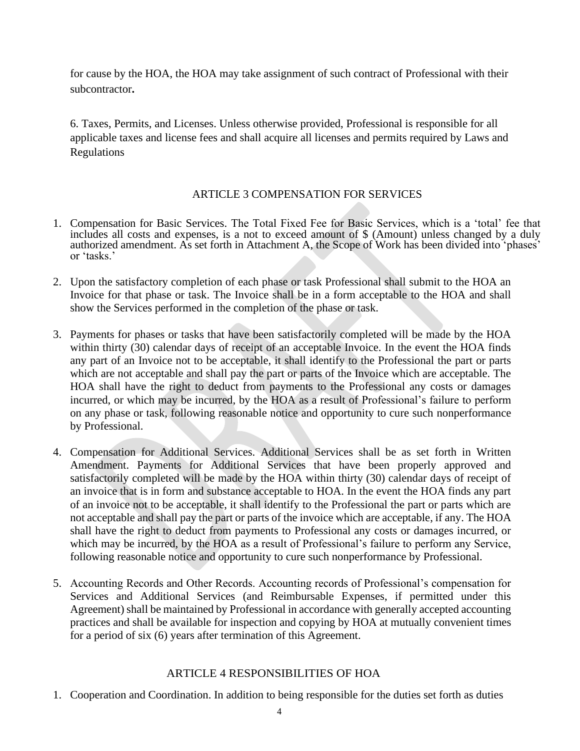for cause by the HOA, the HOA may take assignment of such contract of Professional with their subcontractor**.**

6. Taxes, Permits, and Licenses. Unless otherwise provided, Professional is responsible for all applicable taxes and license fees and shall acquire all licenses and permits required by Laws and Regulations

#### ARTICLE 3 COMPENSATION FOR SERVICES

- 1. Compensation for Basic Services. The Total Fixed Fee for Basic Services, which is a 'total' fee that includes all costs and expenses, is a not to exceed amount of \$ (Amount) unless changed by a duly authorized amendment. As set forth in Attachment A, the Scope of Work has been divided into 'phases' or 'tasks.'
- 2. Upon the satisfactory completion of each phase or task Professional shall submit to the HOA an Invoice for that phase or task. The Invoice shall be in a form acceptable to the HOA and shall show the Services performed in the completion of the phase or task.
- 3. Payments for phases or tasks that have been satisfactorily completed will be made by the HOA within thirty (30) calendar days of receipt of an acceptable Invoice. In the event the HOA finds any part of an Invoice not to be acceptable, it shall identify to the Professional the part or parts which are not acceptable and shall pay the part or parts of the Invoice which are acceptable. The HOA shall have the right to deduct from payments to the Professional any costs or damages incurred, or which may be incurred, by the HOA as a result of Professional's failure to perform on any phase or task, following reasonable notice and opportunity to cure such nonperformance by Professional.
- 4. Compensation for Additional Services. Additional Services shall be as set forth in Written Amendment. Payments for Additional Services that have been properly approved and satisfactorily completed will be made by the HOA within thirty (30) calendar days of receipt of an invoice that is in form and substance acceptable to HOA. In the event the HOA finds any part of an invoice not to be acceptable, it shall identify to the Professional the part or parts which are not acceptable and shall pay the part or parts of the invoice which are acceptable, if any. The HOA shall have the right to deduct from payments to Professional any costs or damages incurred, or which may be incurred, by the HOA as a result of Professional's failure to perform any Service, following reasonable notice and opportunity to cure such nonperformance by Professional.
- 5. Accounting Records and Other Records. Accounting records of Professional's compensation for Services and Additional Services (and Reimbursable Expenses, if permitted under this Agreement) shall be maintained by Professional in accordance with generally accepted accounting practices and shall be available for inspection and copying by HOA at mutually convenient times for a period of six (6) years after termination of this Agreement.

#### ARTICLE 4 RESPONSIBILITIES OF HOA

1. Cooperation and Coordination. In addition to being responsible for the duties set forth as duties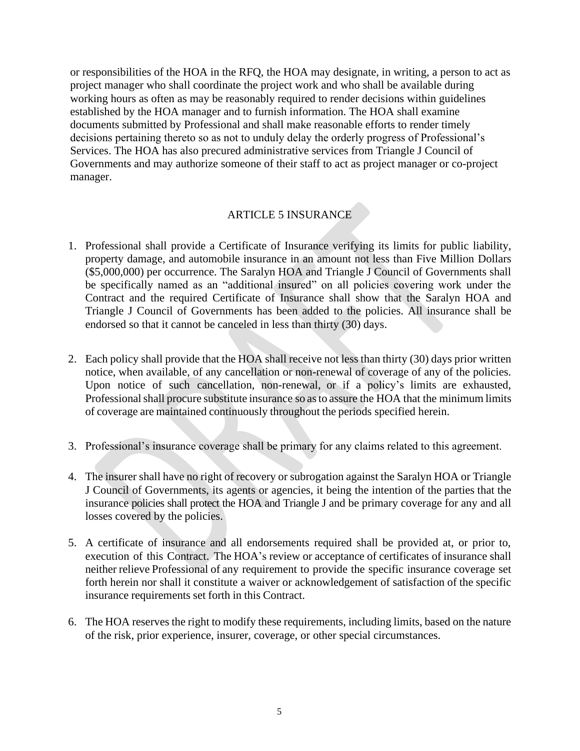or responsibilities of the HOA in the RFQ, the HOA may designate, in writing, a person to act as project manager who shall coordinate the project work and who shall be available during working hours as often as may be reasonably required to render decisions within guidelines established by the HOA manager and to furnish information. The HOA shall examine documents submitted by Professional and shall make reasonable efforts to render timely decisions pertaining thereto so as not to unduly delay the orderly progress of Professional's Services. The HOA has also precured administrative services from Triangle J Council of Governments and may authorize someone of their staff to act as project manager or co-project manager.

#### ARTICLE 5 INSURANCE

- 1. Professional shall provide a Certificate of Insurance verifying its limits for public liability, property damage, and automobile insurance in an amount not less than Five Million Dollars (\$5,000,000) per occurrence. The Saralyn HOA and Triangle J Council of Governments shall be specifically named as an "additional insured" on all policies covering work under the Contract and the required Certificate of Insurance shall show that the Saralyn HOA and Triangle J Council of Governments has been added to the policies. All insurance shall be endorsed so that it cannot be canceled in less than thirty (30) days.
- 2. Each policy shall provide that the HOA shall receive not less than thirty (30) days prior written notice, when available, of any cancellation or non-renewal of coverage of any of the policies. Upon notice of such cancellation, non-renewal, or if a policy's limits are exhausted, Professional shall procure substitute insurance so as to assure the HOA that the minimum limits of coverage are maintained continuously throughout the periods specified herein.
- 3. Professional's insurance coverage shall be primary for any claims related to this agreement.
- 4. The insurer shall have no right of recovery or subrogation against the Saralyn HOA or Triangle J Council of Governments, its agents or agencies, it being the intention of the parties that the insurance policies shall protect the HOA and Triangle J and be primary coverage for any and all losses covered by the policies.
- 5. A certificate of insurance and all endorsements required shall be provided at, or prior to, execution of this Contract. The HOA's review or acceptance of certificates of insurance shall neither relieve Professional of any requirement to provide the specific insurance coverage set forth herein nor shall it constitute a waiver or acknowledgement of satisfaction of the specific insurance requirements set forth in this Contract.
- 6. The HOA reserves the right to modify these requirements, including limits, based on the nature of the risk, prior experience, insurer, coverage, or other special circumstances.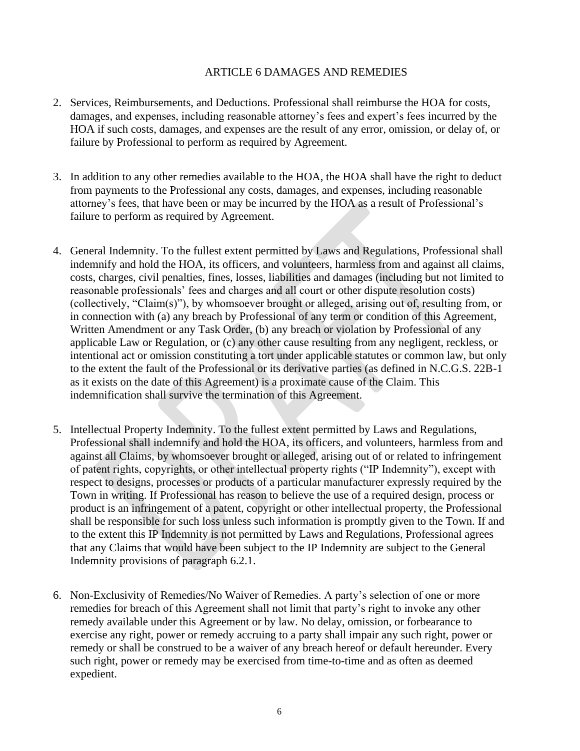#### ARTICLE 6 DAMAGES AND REMEDIES

- 2. Services, Reimbursements, and Deductions. Professional shall reimburse the HOA for costs, damages, and expenses, including reasonable attorney's fees and expert's fees incurred by the HOA if such costs, damages, and expenses are the result of any error, omission, or delay of, or failure by Professional to perform as required by Agreement.
- 3. In addition to any other remedies available to the HOA, the HOA shall have the right to deduct from payments to the Professional any costs, damages, and expenses, including reasonable attorney's fees, that have been or may be incurred by the HOA as a result of Professional's failure to perform as required by Agreement.
- 4. General Indemnity. To the fullest extent permitted by Laws and Regulations, Professional shall indemnify and hold the HOA, its officers, and volunteers, harmless from and against all claims, costs, charges, civil penalties, fines, losses, liabilities and damages (including but not limited to reasonable professionals' fees and charges and all court or other dispute resolution costs) (collectively, "Claim(s)"), by whomsoever brought or alleged, arising out of, resulting from, or in connection with (a) any breach by Professional of any term or condition of this Agreement, Written Amendment or any Task Order, (b) any breach or violation by Professional of any applicable Law or Regulation, or (c) any other cause resulting from any negligent, reckless, or intentional act or omission constituting a tort under applicable statutes or common law, but only to the extent the fault of the Professional or its derivative parties (as defined in N.C.G.S. 22B-1 as it exists on the date of this Agreement) is a proximate cause of the Claim. This indemnification shall survive the termination of this Agreement.
- 5. Intellectual Property Indemnity. To the fullest extent permitted by Laws and Regulations, Professional shall indemnify and hold the HOA, its officers, and volunteers, harmless from and against all Claims, by whomsoever brought or alleged, arising out of or related to infringement of patent rights, copyrights, or other intellectual property rights ("IP Indemnity"), except with respect to designs, processes or products of a particular manufacturer expressly required by the Town in writing. If Professional has reason to believe the use of a required design, process or product is an infringement of a patent, copyright or other intellectual property, the Professional shall be responsible for such loss unless such information is promptly given to the Town. If and to the extent this IP Indemnity is not permitted by Laws and Regulations, Professional agrees that any Claims that would have been subject to the IP Indemnity are subject to the General Indemnity provisions of paragraph 6.2.1.
- 6. Non-Exclusivity of Remedies/No Waiver of Remedies. A party's selection of one or more remedies for breach of this Agreement shall not limit that party's right to invoke any other remedy available under this Agreement or by law. No delay, omission, or forbearance to exercise any right, power or remedy accruing to a party shall impair any such right, power or remedy or shall be construed to be a waiver of any breach hereof or default hereunder. Every such right, power or remedy may be exercised from time-to-time and as often as deemed expedient.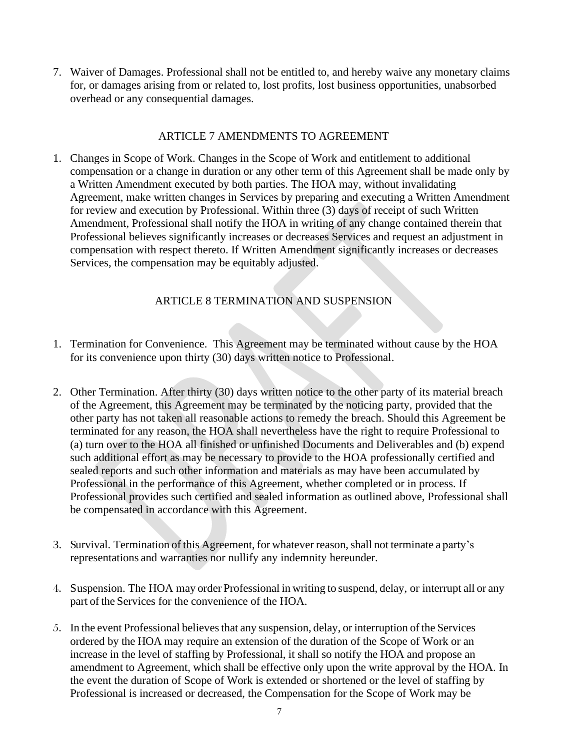7. Waiver of Damages. Professional shall not be entitled to, and hereby waive any monetary claims for, or damages arising from or related to, lost profits, lost business opportunities, unabsorbed overhead or any consequential damages.

#### ARTICLE 7 AMENDMENTS TO AGREEMENT

1. Changes in Scope of Work. Changes in the Scope of Work and entitlement to additional compensation or a change in duration or any other term of this Agreement shall be made only by a Written Amendment executed by both parties. The HOA may, without invalidating Agreement, make written changes in Services by preparing and executing a Written Amendment for review and execution by Professional. Within three (3) days of receipt of such Written Amendment, Professional shall notify the HOA in writing of any change contained therein that Professional believes significantly increases or decreases Services and request an adjustment in compensation with respect thereto. If Written Amendment significantly increases or decreases Services, the compensation may be equitably adjusted.

#### ARTICLE 8 TERMINATION AND SUSPENSION

- 1. Termination for Convenience. This Agreement may be terminated without cause by the HOA for its convenience upon thirty (30) days written notice to Professional.
- 2. Other Termination. After thirty (30) days written notice to the other party of its material breach of the Agreement, this Agreement may be terminated by the noticing party, provided that the other party has not taken all reasonable actions to remedy the breach. Should this Agreement be terminated for any reason, the HOA shall nevertheless have the right to require Professional to (a) turn over to the HOA all finished or unfinished Documents and Deliverables and (b) expend such additional effort as may be necessary to provide to the HOA professionally certified and sealed reports and such other information and materials as may have been accumulated by Professional in the performance of this Agreement, whether completed or in process. If Professional provides such certified and sealed information as outlined above, Professional shall be compensated in accordance with this Agreement.
- 3. Survival. Termination of this Agreement, for whatever reason, shall not terminate a party's representations and warranties nor nullify any indemnity hereunder.
- 4. Suspension. The HOA may order Professional in writing to suspend, delay, or interrupt all or any part of the Services for the convenience of the HOA.
- 5. In the event Professional believes that any suspension, delay, or interruption of the Services ordered by the HOA may require an extension of the duration of the Scope of Work or an increase in the level of staffing by Professional, it shall so notify the HOA and propose an amendment to Agreement, which shall be effective only upon the write approval by the HOA. In the event the duration of Scope of Work is extended or shortened or the level of staffing by Professional is increased or decreased, the Compensation for the Scope of Work may be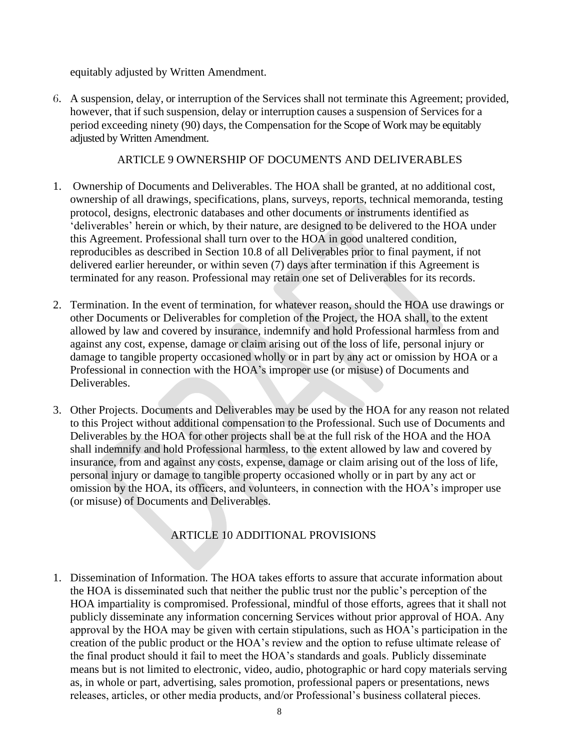equitably adjusted by Written Amendment.

6. A suspension, delay, or interruption of the Services shall not terminate this Agreement; provided, however, that if such suspension, delay or interruption causes a suspension of Services for a period exceeding ninety (90) days, the Compensation for the Scope of Work may be equitably adjusted by Written Amendment.

#### ARTICLE 9 OWNERSHIP OF DOCUMENTS AND DELIVERABLES

- 1. Ownership of Documents and Deliverables. The HOA shall be granted, at no additional cost, ownership of all drawings, specifications, plans, surveys, reports, technical memoranda, testing protocol, designs, electronic databases and other documents or instruments identified as 'deliverables' herein or which, by their nature, are designed to be delivered to the HOA under this Agreement. Professional shall turn over to the HOA in good unaltered condition, reproducibles as described in Section 10.8 of all Deliverables prior to final payment, if not delivered earlier hereunder, or within seven (7) days after termination if this Agreement is terminated for any reason. Professional may retain one set of Deliverables for its records.
- 2. Termination. In the event of termination, for whatever reason, should the HOA use drawings or other Documents or Deliverables for completion of the Project, the HOA shall, to the extent allowed by law and covered by insurance, indemnify and hold Professional harmless from and against any cost, expense, damage or claim arising out of the loss of life, personal injury or damage to tangible property occasioned wholly or in part by any act or omission by HOA or a Professional in connection with the HOA's improper use (or misuse) of Documents and Deliverables.
- 3. Other Projects. Documents and Deliverables may be used by the HOA for any reason not related to this Project without additional compensation to the Professional. Such use of Documents and Deliverables by the HOA for other projects shall be at the full risk of the HOA and the HOA shall indemnify and hold Professional harmless, to the extent allowed by law and covered by insurance, from and against any costs, expense, damage or claim arising out of the loss of life, personal injury or damage to tangible property occasioned wholly or in part by any act or omission by the HOA, its officers, and volunteers, in connection with the HOA's improper use (or misuse) of Documents and Deliverables.

#### ARTICLE 10 ADDITIONAL PROVISIONS

1. Dissemination of Information. The HOA takes efforts to assure that accurate information about the HOA is disseminated such that neither the public trust nor the public's perception of the HOA impartiality is compromised. Professional, mindful of those efforts, agrees that it shall not publicly disseminate any information concerning Services without prior approval of HOA. Any approval by the HOA may be given with certain stipulations, such as HOA's participation in the creation of the public product or the HOA's review and the option to refuse ultimate release of the final product should it fail to meet the HOA's standards and goals. Publicly disseminate means but is not limited to electronic, video, audio, photographic or hard copy materials serving as, in whole or part, advertising, sales promotion, professional papers or presentations, news releases, articles, or other media products, and/or Professional's business collateral pieces.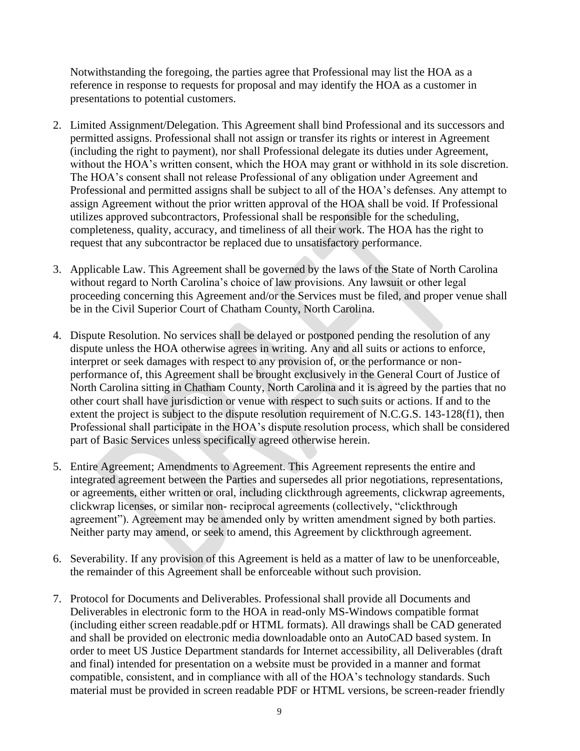Notwithstanding the foregoing, the parties agree that Professional may list the HOA as a reference in response to requests for proposal and may identify the HOA as a customer in presentations to potential customers.

- 2. Limited Assignment/Delegation. This Agreement shall bind Professional and its successors and permitted assigns. Professional shall not assign or transfer its rights or interest in Agreement (including the right to payment), nor shall Professional delegate its duties under Agreement, without the HOA's written consent, which the HOA may grant or withhold in its sole discretion. The HOA's consent shall not release Professional of any obligation under Agreement and Professional and permitted assigns shall be subject to all of the HOA's defenses. Any attempt to assign Agreement without the prior written approval of the HOA shall be void. If Professional utilizes approved subcontractors, Professional shall be responsible for the scheduling, completeness, quality, accuracy, and timeliness of all their work. The HOA has the right to request that any subcontractor be replaced due to unsatisfactory performance.
- 3. Applicable Law. This Agreement shall be governed by the laws of the State of North Carolina without regard to North Carolina's choice of law provisions. Any lawsuit or other legal proceeding concerning this Agreement and/or the Services must be filed, and proper venue shall be in the Civil Superior Court of Chatham County, North Carolina.
- 4. Dispute Resolution. No services shall be delayed or postponed pending the resolution of any dispute unless the HOA otherwise agrees in writing. Any and all suits or actions to enforce, interpret or seek damages with respect to any provision of, or the performance or nonperformance of, this Agreement shall be brought exclusively in the General Court of Justice of North Carolina sitting in Chatham County, North Carolina and it is agreed by the parties that no other court shall have jurisdiction or venue with respect to such suits or actions. If and to the extent the project is subject to the dispute resolution requirement of N.C.G.S. 143-128(f1), then Professional shall participate in the HOA's dispute resolution process, which shall be considered part of Basic Services unless specifically agreed otherwise herein.
- 5. Entire Agreement; Amendments to Agreement. This Agreement represents the entire and integrated agreement between the Parties and supersedes all prior negotiations, representations, or agreements, either written or oral, including clickthrough agreements, clickwrap agreements, clickwrap licenses, or similar non- reciprocal agreements (collectively, "clickthrough agreement"). Agreement may be amended only by written amendment signed by both parties. Neither party may amend, or seek to amend, this Agreement by clickthrough agreement.
- 6. Severability. If any provision of this Agreement is held as a matter of law to be unenforceable, the remainder of this Agreement shall be enforceable without such provision.
- 7. Protocol for Documents and Deliverables. Professional shall provide all Documents and Deliverables in electronic form to the HOA in read-only MS-Windows compatible format (including either screen readable.pdf or HTML formats). All drawings shall be CAD generated and shall be provided on electronic media downloadable onto an AutoCAD based system. In order to meet US Justice Department standards for Internet accessibility, all Deliverables (draft and final) intended for presentation on a website must be provided in a manner and format compatible, consistent, and in compliance with all of the HOA's technology standards. Such material must be provided in screen readable PDF or HTML versions, be screen-reader friendly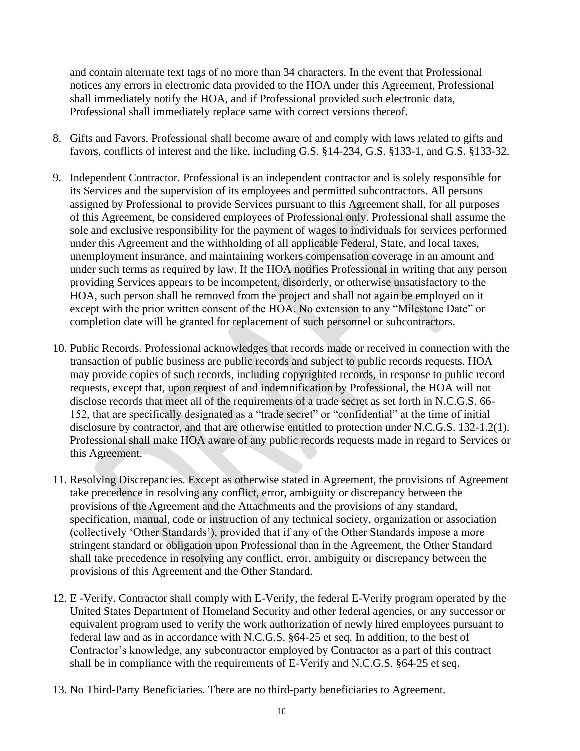and contain alternate text tags of no more than 34 characters. In the event that Professional notices any errors in electronic data provided to the HOA under this Agreement, Professional shall immediately notify the HOA, and if Professional provided such electronic data, Professional shall immediately replace same with correct versions thereof.

- 8. Gifts and Favors. Professional shall become aware of and comply with laws related to gifts and favors, conflicts of interest and the like, including G.S. §14-234, G.S. §133-1, and G.S. §133-32.
- 9. Independent Contractor. Professional is an independent contractor and is solely responsible for its Services and the supervision of its employees and permitted subcontractors. All persons assigned by Professional to provide Services pursuant to this Agreement shall, for all purposes of this Agreement, be considered employees of Professional only. Professional shall assume the sole and exclusive responsibility for the payment of wages to individuals for services performed under this Agreement and the withholding of all applicable Federal, State, and local taxes, unemployment insurance, and maintaining workers compensation coverage in an amount and under such terms as required by law. If the HOA notifies Professional in writing that any person providing Services appears to be incompetent, disorderly, or otherwise unsatisfactory to the HOA, such person shall be removed from the project and shall not again be employed on it except with the prior written consent of the HOA. No extension to any "Milestone Date" or completion date will be granted for replacement of such personnel or subcontractors.
- 10. Public Records. Professional acknowledges that records made or received in connection with the transaction of public business are public records and subject to public records requests. HOA may provide copies of such records, including copyrighted records, in response to public record requests, except that, upon request of and indemnification by Professional, the HOA will not disclose records that meet all of the requirements of a trade secret as set forth in N.C.G.S. 66- 152, that are specifically designated as a "trade secret" or "confidential" at the time of initial disclosure by contractor, and that are otherwise entitled to protection under N.C.G.S. 132-1.2(1). Professional shall make HOA aware of any public records requests made in regard to Services or this Agreement.
- 11. Resolving Discrepancies. Except as otherwise stated in Agreement, the provisions of Agreement take precedence in resolving any conflict, error, ambiguity or discrepancy between the provisions of the Agreement and the Attachments and the provisions of any standard, specification, manual, code or instruction of any technical society, organization or association (collectively 'Other Standards'), provided that if any of the Other Standards impose a more stringent standard or obligation upon Professional than in the Agreement, the Other Standard shall take precedence in resolving any conflict, error, ambiguity or discrepancy between the provisions of this Agreement and the Other Standard.
- 12. E -Verify. Contractor shall comply with E-Verify, the federal E-Verify program operated by the United States Department of Homeland Security and other federal agencies, or any successor or equivalent program used to verify the work authorization of newly hired employees pursuant to federal law and as in accordance with N.C.G.S. §64-25 et seq. In addition, to the best of Contractor's knowledge, any subcontractor employed by Contractor as a part of this contract shall be in compliance with the requirements of E-Verify and N.C.G.S. §64-25 et seq.
- 13. No Third-Party Beneficiaries. There are no third-party beneficiaries to Agreement.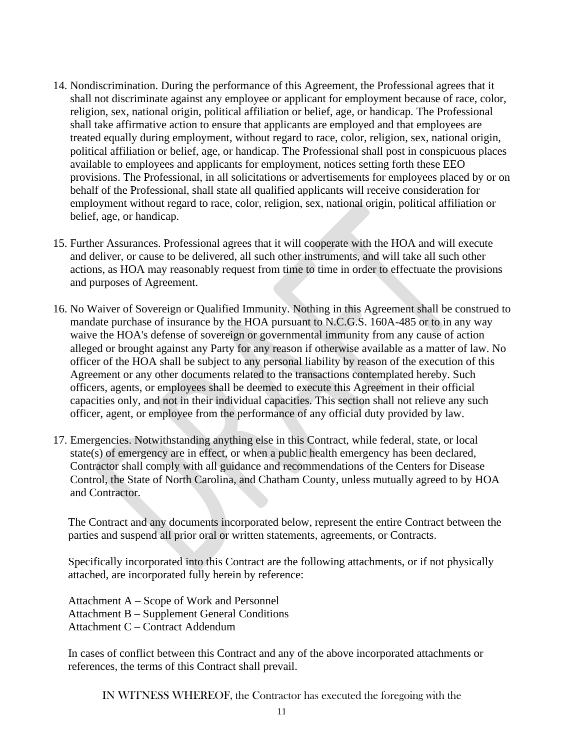- 14. Nondiscrimination. During the performance of this Agreement, the Professional agrees that it shall not discriminate against any employee or applicant for employment because of race, color, religion, sex, national origin, political affiliation or belief, age, or handicap. The Professional shall take affirmative action to ensure that applicants are employed and that employees are treated equally during employment, without regard to race, color, religion, sex, national origin, political affiliation or belief, age, or handicap. The Professional shall post in conspicuous places available to employees and applicants for employment, notices setting forth these EEO provisions. The Professional, in all solicitations or advertisements for employees placed by or on behalf of the Professional, shall state all qualified applicants will receive consideration for employment without regard to race, color, religion, sex, national origin, political affiliation or belief, age, or handicap.
- 15. Further Assurances. Professional agrees that it will cooperate with the HOA and will execute and deliver, or cause to be delivered, all such other instruments, and will take all such other actions, as HOA may reasonably request from time to time in order to effectuate the provisions and purposes of Agreement.
- 16. No Waiver of Sovereign or Qualified Immunity. Nothing in this Agreement shall be construed to mandate purchase of insurance by the HOA pursuant to N.C.G.S. 160A-485 or to in any way waive the HOA's defense of sovereign or governmental immunity from any cause of action alleged or brought against any Party for any reason if otherwise available as a matter of law. No officer of the HOA shall be subject to any personal liability by reason of the execution of this Agreement or any other documents related to the transactions contemplated hereby. Such officers, agents, or employees shall be deemed to execute this Agreement in their official capacities only, and not in their individual capacities. This section shall not relieve any such officer, agent, or employee from the performance of any official duty provided by law.
- 17. Emergencies. Notwithstanding anything else in this Contract, while federal, state, or local state(s) of emergency are in effect, or when a public health emergency has been declared, Contractor shall comply with all guidance and recommendations of the Centers for Disease Control, the State of North Carolina, and Chatham County, unless mutually agreed to by HOA and Contractor.

The Contract and any documents incorporated below, represent the entire Contract between the parties and suspend all prior oral or written statements, agreements, or Contracts.

Specifically incorporated into this Contract are the following attachments, or if not physically attached, are incorporated fully herein by reference:

Attachment A – Scope of Work and Personnel Attachment B – Supplement General Conditions Attachment C – Contract Addendum

In cases of conflict between this Contract and any of the above incorporated attachments or references, the terms of this Contract shall prevail.

IN WITNESS WHEREOF, the Contractor has executed the foregoing with the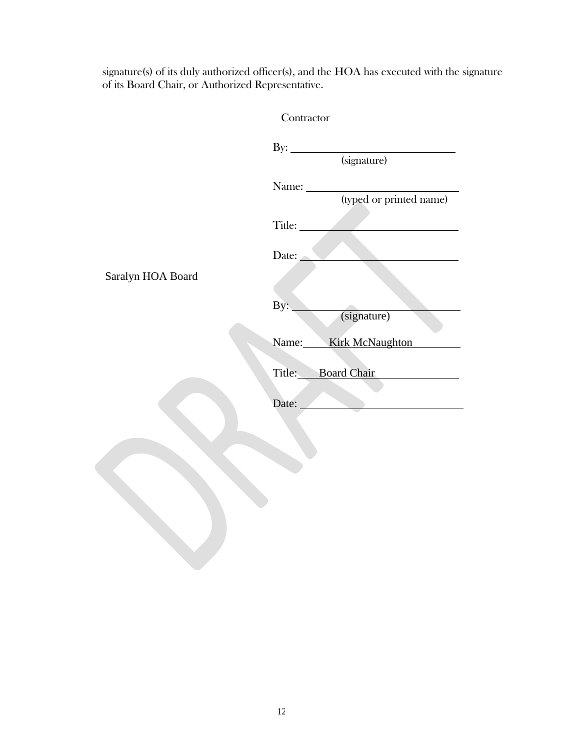signature(s) of its duly authorized officer(s), and the HOA has executed with the signature of its Board Chair, or Authorized Representative.

|                   | Contractor            |
|-------------------|-----------------------|
|                   | By: <u>signature</u>  |
| Saralyn HOA Board |                       |
|                   | Title:                |
|                   | Date:                 |
|                   | By:<br>(signature)    |
|                   | Name: Kirk McNaughton |
|                   | Title: Board Chair    |
|                   | Date:<br>$\sim$       |
|                   |                       |
|                   |                       |
|                   |                       |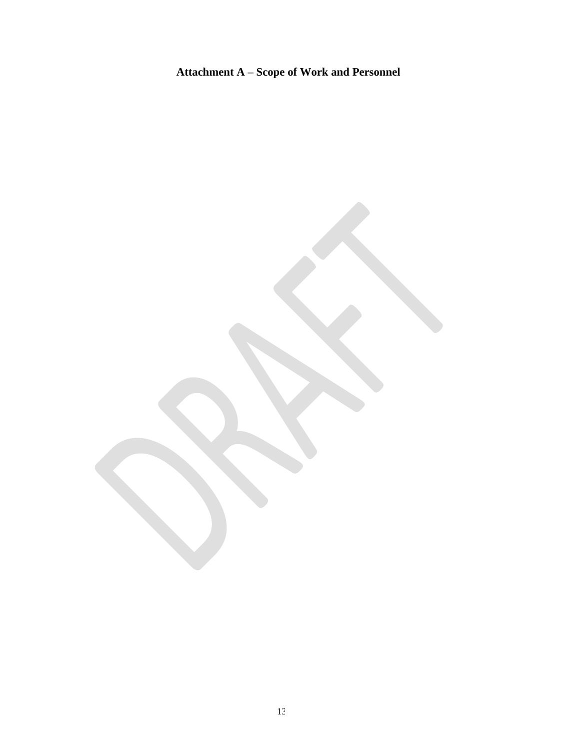# **Attachment A – Scope of Work and Personnel**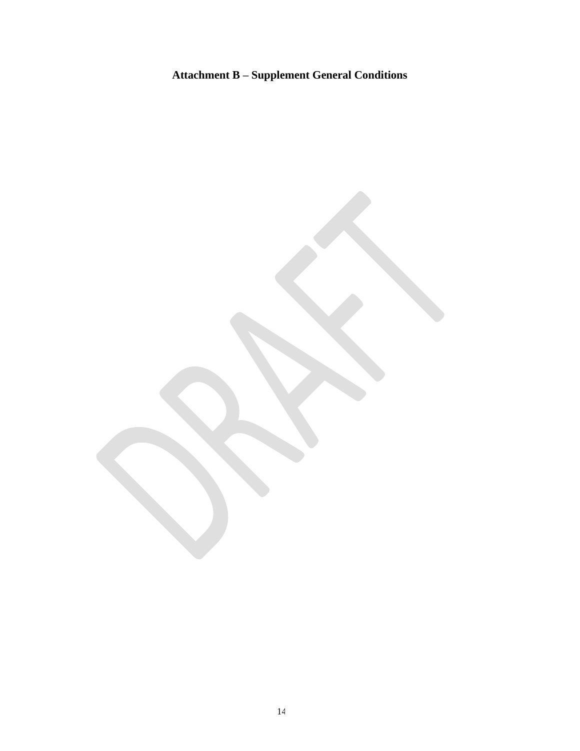# **Attachment B – Supplement General Conditions**